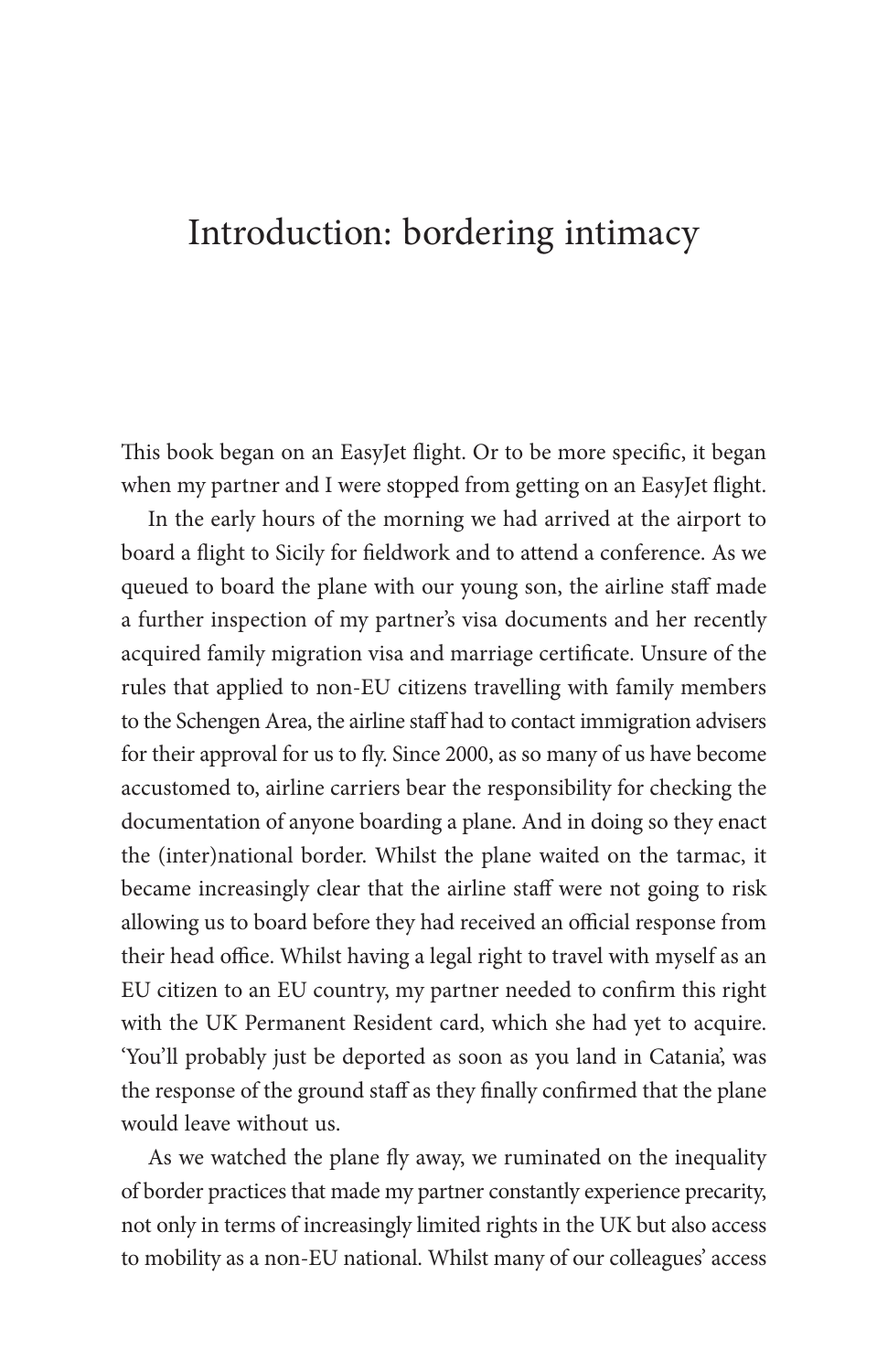# Introduction: bordering intimacy

This book began on an EasyJet flight. Or to be more specific, it began when my partner and I were stopped from getting on an EasyJet flight.

 In the early hours of the morning we had arrived at the airport to board a flight to Sicily for fieldwork and to attend a conference. As we queued to board the plane with our young son, the airline staff made a further inspection of my partner's visa documents and her recently acquired family migration visa and marriage certificate. Unsure of the rules that applied to non-EU citizens travelling with family members to the Schengen Area, the airline staff had to contact immigration advisers for their approval for us to fly. Since 2000, as so many of us have become accustomed to, airline carriers bear the responsibility for checking the documentation of anyone boarding a plane. And in doing so they enact the (inter)national border. Whilst the plane waited on the tarmac, it became increasingly clear that the airline staff were not going to risk allowing us to board before they had received an official response from their head office. Whilst having a legal right to travel with myself as an EU citizen to an EU country, my partner needed to confirm this right with the UK Permanent Resident card, which she had yet to acquire. 'You'll probably just be deported as soon as you land in Catania', was the response of the ground staff as they finally confirmed that the plane would leave without us.

As we watched the plane fly away, we ruminated on the inequality of border practices that made my partner constantly experience precarity, not only in terms of increasingly limited rights in the UK but also access to mobility as a non-EU national. Whilst many of our colleagues' access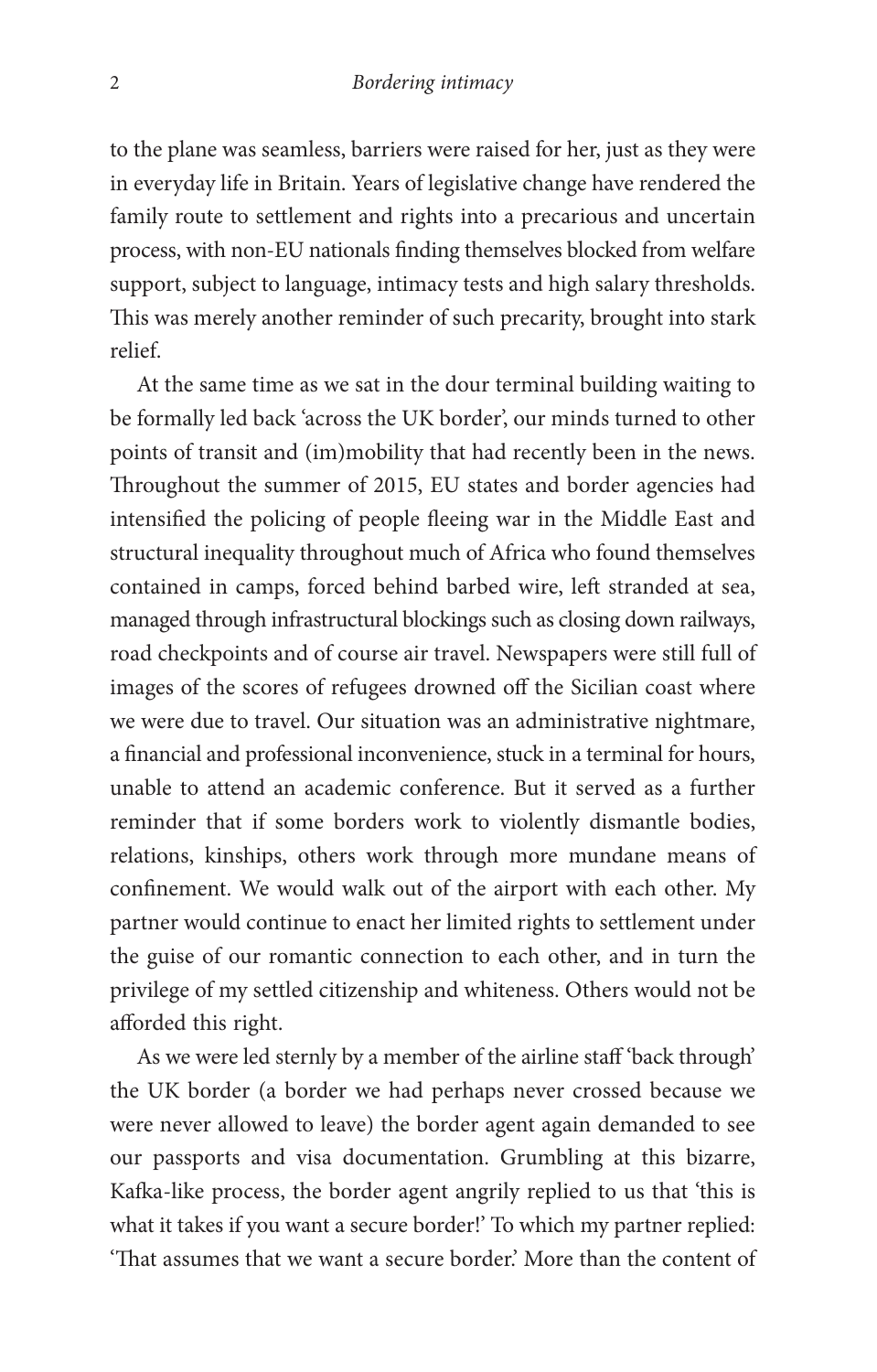to the plane was seamless, barriers were raised for her, just as they were in everyday life in Britain. Years of legislative change have rendered the family route to settlement and rights into a precarious and uncertain process, with non-EU nationals finding themselves blocked from welfare support, subject to language, intimacy tests and high salary thresholds. This was merely another reminder of such precarity, brought into stark relief.

 At the same time as we sat in the dour terminal building waiting to be formally led back 'across the UK border', our minds turned to other points of transit and (im)mobility that had recently been in the news. Throughout the summer of 2015, EU states and border agencies had intensified the policing of people fleeing war in the Middle East and structural inequality throughout much of Africa who found themselves contained in camps, forced behind barbed wire, left stranded at sea, managed through infrastructural blockings such as closing down railways, road checkpoints and of course air travel. Newspapers were still full of images of the scores of refugees drowned off the Sicilian coast where we were due to travel. Our situation was an administrative nightmare, a financial and professional inconvenience, stuck in a terminal for hours, unable to attend an academic conference. But it served as a further reminder that if some borders work to violently dismantle bodies, relations, kinships, others work through more mundane means of confinement. We would walk out of the airport with each other. My partner would continue to enact her limited rights to settlement under the guise of our romantic connection to each other, and in turn the privilege of my settled citizenship and whiteness. Others would not be afforded this right.

 As we were led sternly by a member of the airline staff 'back through' the UK border (a border we had perhaps never crossed because we were never allowed to leave) the border agent again demanded to see our passports and visa documentation. Grumbling at this bizarre, Kafka-like process, the border agent angrily replied to us that 'this is what it takes if you want a secure border!' To which my partner replied: 'That assumes that we want a secure border.' More than the content of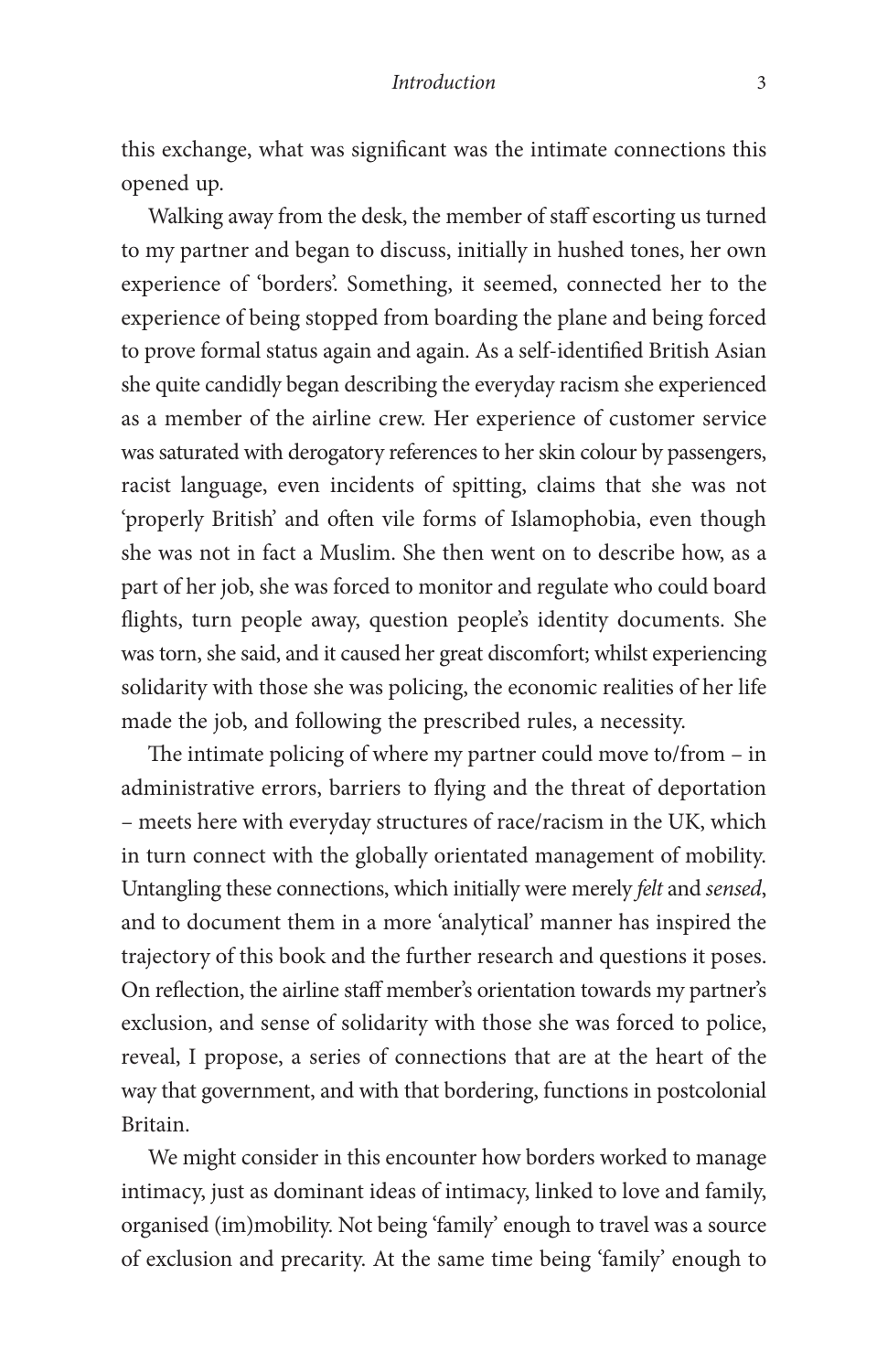this exchange, what was significant was the intimate connections this opened up.

 Walking away from the desk, the member of staff escorting us turned to my partner and began to discuss, initially in hushed tones, her own experience of 'borders'. Something, it seemed, connected her to the experience of being stopped from boarding the plane and being forced to prove formal status again and again. As a self-identified British Asian she quite candidly began describing the everyday racism she experienced as a member of the airline crew. Her experience of customer service was saturated with derogatory references to her skin colour by passengers, racist language, even incidents of spitting, claims that she was not 'properly British' and often vile forms of Islamophobia, even though she was not in fact a Muslim. She then went on to describe how, as a part of her job, she was forced to monitor and regulate who could board flights, turn people away, question people's identity documents. She was torn, she said, and it caused her great discomfort; whilst experiencing solidarity with those she was policing, the economic realities of her life made the job, and following the prescribed rules, a necessity.

The intimate policing of where my partner could move to/from  $-$  in administrative errors, barriers to flying and the threat of deportation – meets here with everyday structures of race/racism in the UK, which in turn connect with the globally orientated management of mobility. Untangling these connections, which initially were merely *felt* and *sensed* , and to document them in a more 'analytical' manner has inspired the trajectory of this book and the further research and questions it poses. On reflection, the airline staff member's orientation towards my partner's exclusion, and sense of solidarity with those she was forced to police, reveal, I propose, a series of connections that are at the heart of the way that government, and with that bordering, functions in postcolonial Britain.

 We might consider in this encounter how borders worked to manage intimacy, just as dominant ideas of intimacy, linked to love and family, organised (im)mobility. Not being 'family' enough to travel was a source of exclusion and precarity. At the same time being 'family' enough to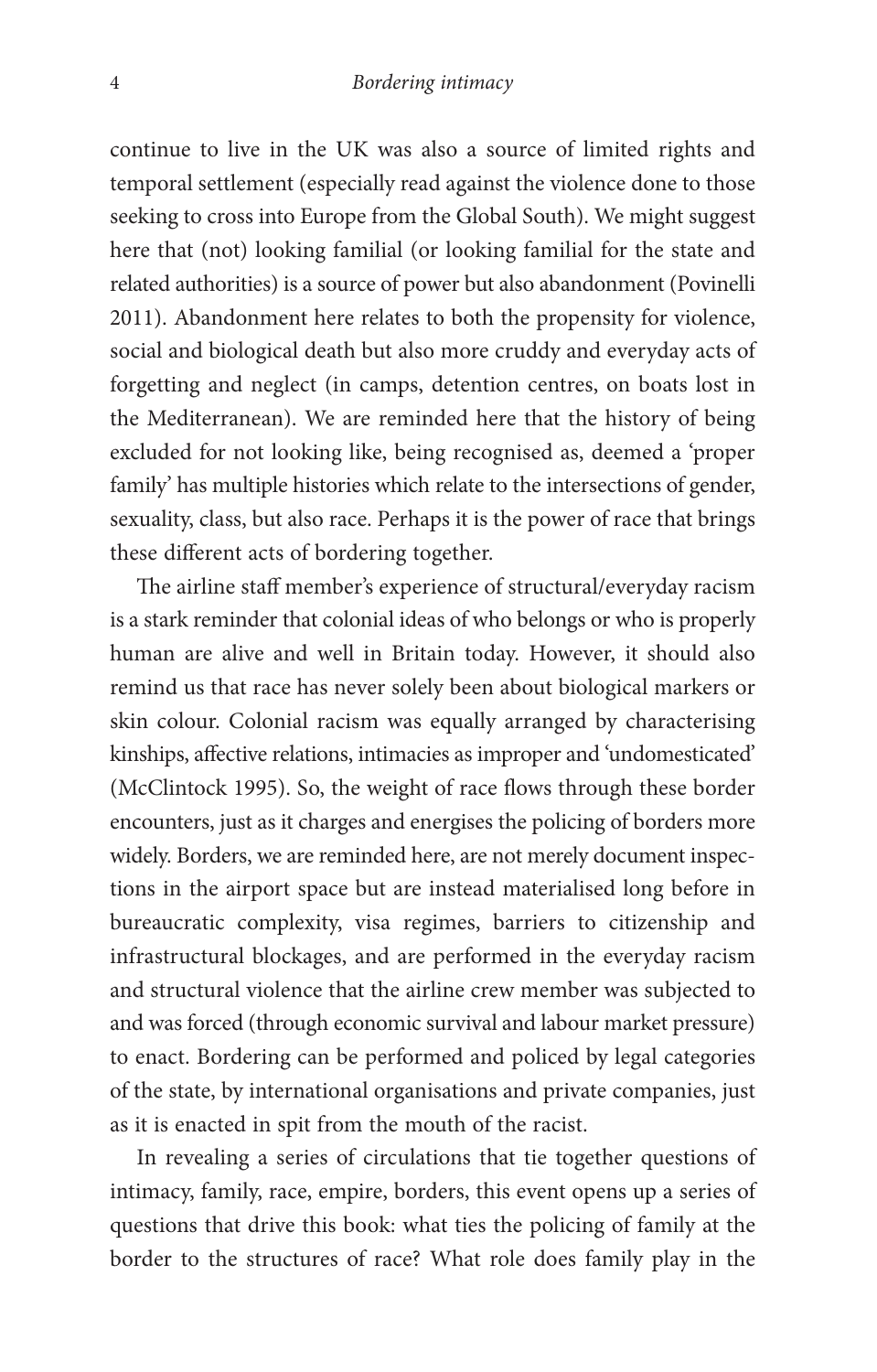continue to live in the UK was also a source of limited rights and temporal settlement (especially read against the violence done to those seeking to cross into Europe from the Global South). We might suggest here that (not) looking familial (or looking familial for the state and related authorities) is a source of power but also abandonment ( Povinelli 2011). Abandonment here relates to both the propensity for violence, social and biological death but also more cruddy and everyday acts of forgetting and neglect (in camps, detention centres, on boats lost in the Mediterranean). We are reminded here that the history of being excluded for not looking like, being recognised as, deemed a 'proper family' has multiple histories which relate to the intersections of gender, sexuality, class, but also race. Perhaps it is the power of race that brings these different acts of bordering together.

The airline staff member's experience of structural/everyday racism is a stark reminder that colonial ideas of who belongs or who is properly human are alive and well in Britain today. However, it should also remind us that race has never solely been about biological markers or skin colour. Colonial racism was equally arranged by characterising kinships, affective relations, intimacies as improper and 'undomesticated' (McClintock 1995). So, the weight of race flows through these border encounters, just as it charges and energises the policing of borders more widely. Borders, we are reminded here, are not merely document inspections in the airport space but are instead materialised long before in bureaucratic complexity, visa regimes, barriers to citizenship and infrastructural blockages, and are performed in the everyday racism and structural violence that the airline crew member was subjected to and was forced (through economic survival and labour market pressure) to enact. Bordering can be performed and policed by legal categories of the state, by international organisations and private companies, just as it is enacted in spit from the mouth of the racist.

 In revealing a series of circulations that tie together questions of intimacy, family, race, empire, borders, this event opens up a series of questions that drive this book: what ties the policing of family at the border to the structures of race? What role does family play in the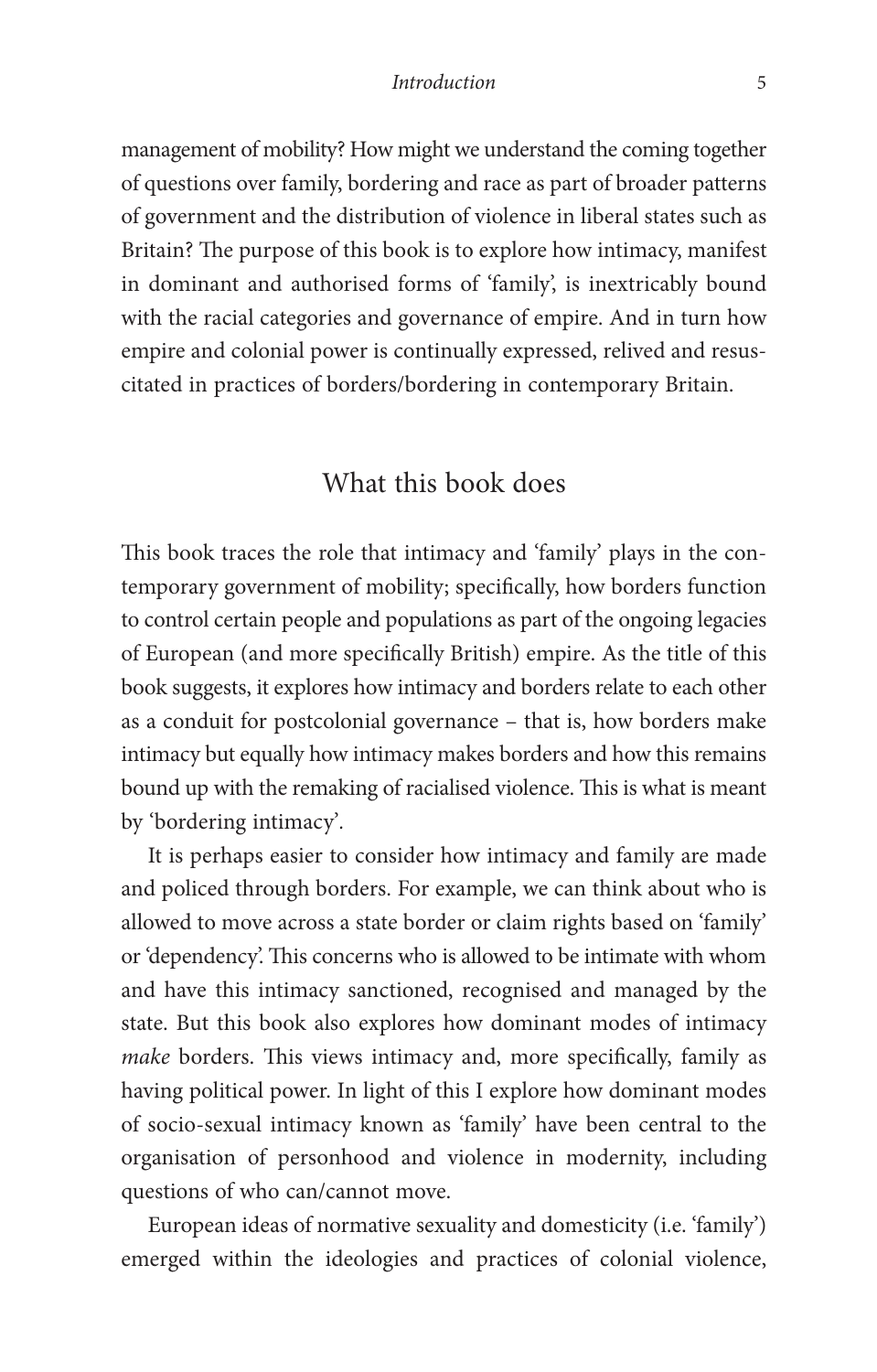management of mobility? How might we understand the coming together of questions over family, bordering and race as part of broader patterns of government and the distribution of violence in liberal states such as Britain? The purpose of this book is to explore how intimacy, manifest in dominant and authorised forms of 'family', is inextricably bound with the racial categories and governance of empire. And in turn how empire and colonial power is continually expressed, relived and resuscitated in practices of borders/bordering in contemporary Britain.

## What this book does

This book traces the role that intimacy and 'family' plays in the contemporary government of mobility; specifically, how borders function to control certain people and populations as part of the ongoing legacies of European (and more specifically British) empire. As the title of this book suggests, it explores how intimacy and borders relate to each other as a conduit for postcolonial governance – that is, how borders make intimacy but equally how intimacy makes borders and how this remains bound up with the remaking of racialised violence. This is what is meant by 'bordering intimacy' *.*

 It is perhaps easier to consider how intimacy and family are made and policed through borders. For example, we can think about who is allowed to move across a state border or claim rights based on 'family' or 'dependency'. This concerns who is allowed to be intimate with whom and have this intimacy sanctioned, recognised and managed by the state. But this book also explores how dominant modes of intimacy *make* borders. This views intimacy and, more specifically, family as having political power. In light of this I explore how dominant modes of socio-sexual intimacy known as 'family' have been central to the organisation of personhood and violence in modernity, including questions of who can/cannot move.

 European ideas of normative sexuality and domesticity (i.e. 'family') emerged within the ideologies and practices of colonial violence,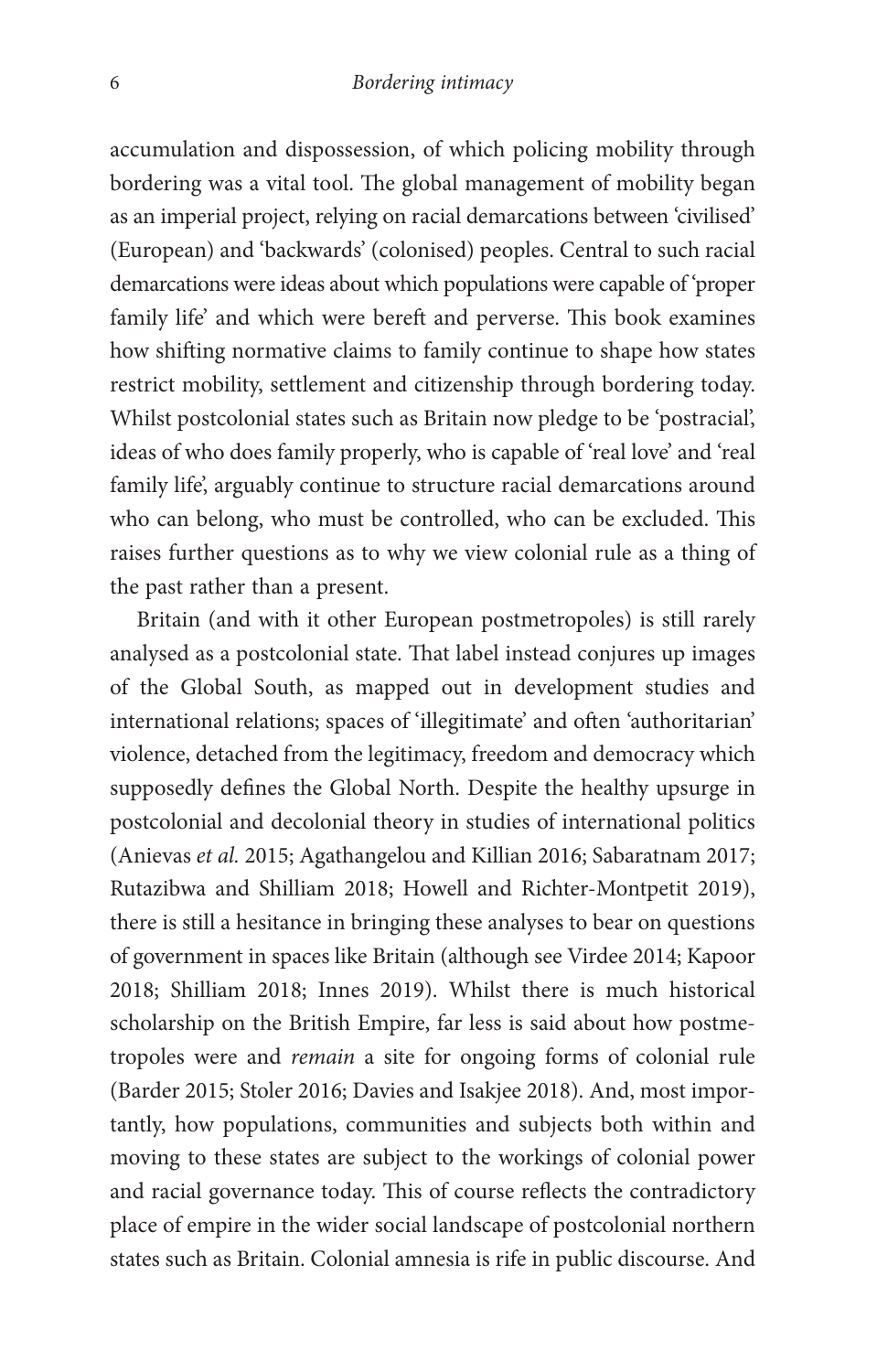accumulation and dispossession, of which policing mobility through bordering was a vital tool. The global management of mobility began as an imperial project, relying on racial demarcations between 'civilised' (European) and 'backwards' (colonised) peoples. Central to such racial demarcations were ideas about which populations were capable of 'proper family life' and which were bereft and perverse. This book examines how shifting normative claims to family continue to shape how states restrict mobility, settlement and citizenship through bordering today. Whilst postcolonial states such as Britain now pledge to be 'postracial', ideas of who does family properly, who is capable of 'real love' and 'real family life', arguably continue to structure racial demarcations around who can belong, who must be controlled, who can be excluded. This raises further questions as to why we view colonial rule as a thing of the past rather than a present.

 Britain (and with it other European postmetropoles) is still rarely analysed as a postcolonial state. That label instead conjures up images of the Global South, as mapped out in development studies and international relations; spaces of 'illegitimate' and often 'authoritarian' violence, detached from the legitimacy, freedom and democracy which supposedly defines the Global North. Despite the healthy upsurge in postcolonial and decolonial theory in studies of international politics (Anievas et al. 2015; Agathangelou and Killian 2016; Sabaratnam 2017; Rutazibwa and Shilliam 2018; Howell and Richter-Montpetit 2019), there is still a hesitance in bringing these analyses to bear on questions of government in spaces like Britain (although see Virdee 2014; Kapoor 2018; Shilliam 2018; Innes 2019). Whilst there is much historical scholarship on the British Empire, far less is said about how postmetropoles were and *remain* a site for ongoing forms of colonial rule (Barder 2015; Stoler 2016; Davies and Isakjee 2018). And, most importantly, how populations, communities and subjects both within and moving to these states are subject to the workings of colonial power and racial governance today. This of course reflects the contradictory place of empire in the wider social landscape of postcolonial northern states such as Britain. Colonial amnesia is rife in public discourse. And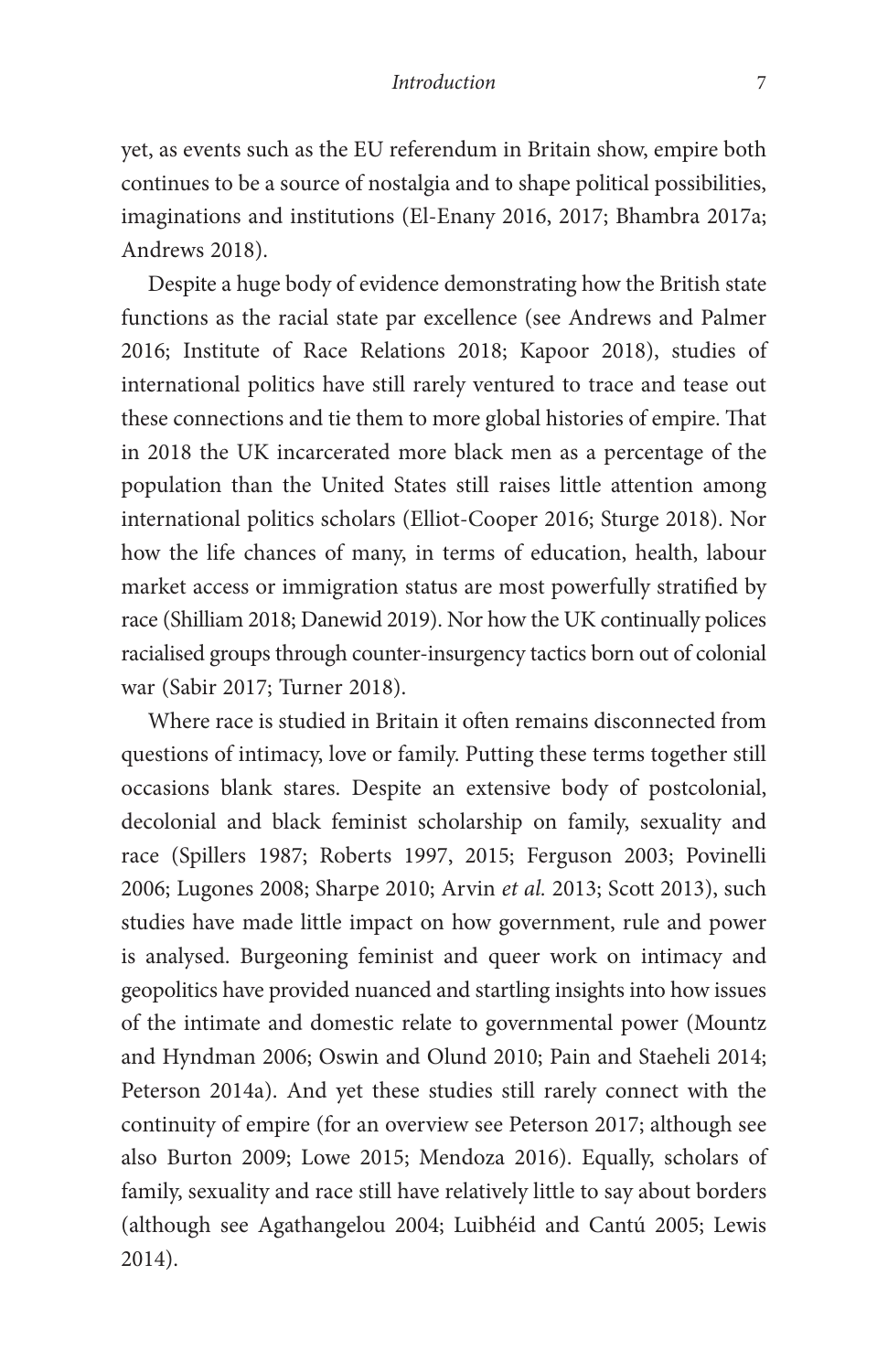yet, as events such as the EU referendum in Britain show, empire both continues to be a source of nostalgia and to shape political possibilities, imaginations and institutions (El-Enany 2016, 2017; Bhambra 2017a; Andrews 2018 ).

 Despite a huge body of evidence demonstrating how the British state functions as the racial state par excellence (see Andrews and Palmer 2016; Institute of Race Relations 2018; Kapoor 2018), studies of international politics have still rarely ventured to trace and tease out these connections and tie them to more global histories of empire. That in 2018 the UK incarcerated more black men as a percentage of the population than the United States still raises little attention among international politics scholars (Elliot-Cooper 2016; Sturge 2018 ). Nor how the life chances of many, in terms of education, health, labour market access or immigration status are most powerfully stratified by race (Shilliam 2018; Danewid 2019). Nor how the UK continually polices racialised groups through counter-insurgency tactics born out of colonial war (Sabir 2017; Turner 2018).

Where race is studied in Britain it often remains disconnected from questions of intimacy, love or family. Putting these terms together still occasions blank stares. Despite an extensive body of postcolonial, decolonial and black feminist scholarship on family, sexuality and race (Spillers 1987; Roberts 1997, 2015; Ferguson 2003; Povinelli 2006; Lugones 2008; Sharpe 2010; Arvin et al. 2013; Scott 2013), such studies have made little impact on how government, rule and power is analysed. Burgeoning feminist and queer work on intimacy and geopolitics have provided nuanced and startling insights into how issues of the intimate and domestic relate to governmental power ( Mountz and Hyndman 2006; Oswin and Olund 2010; Pain and Staeheli 2014; Peterson 2014a). And yet these studies still rarely connect with the continuity of empire (for an overview see Peterson 2017; although see also Burton 2009; Lowe 2015; Mendoza 2016). Equally, scholars of family, sexuality and race still have relatively little to say about borders (although see Agathangelou 2004; Luibhéid and Cantú 2005; Lewis  $2014$ .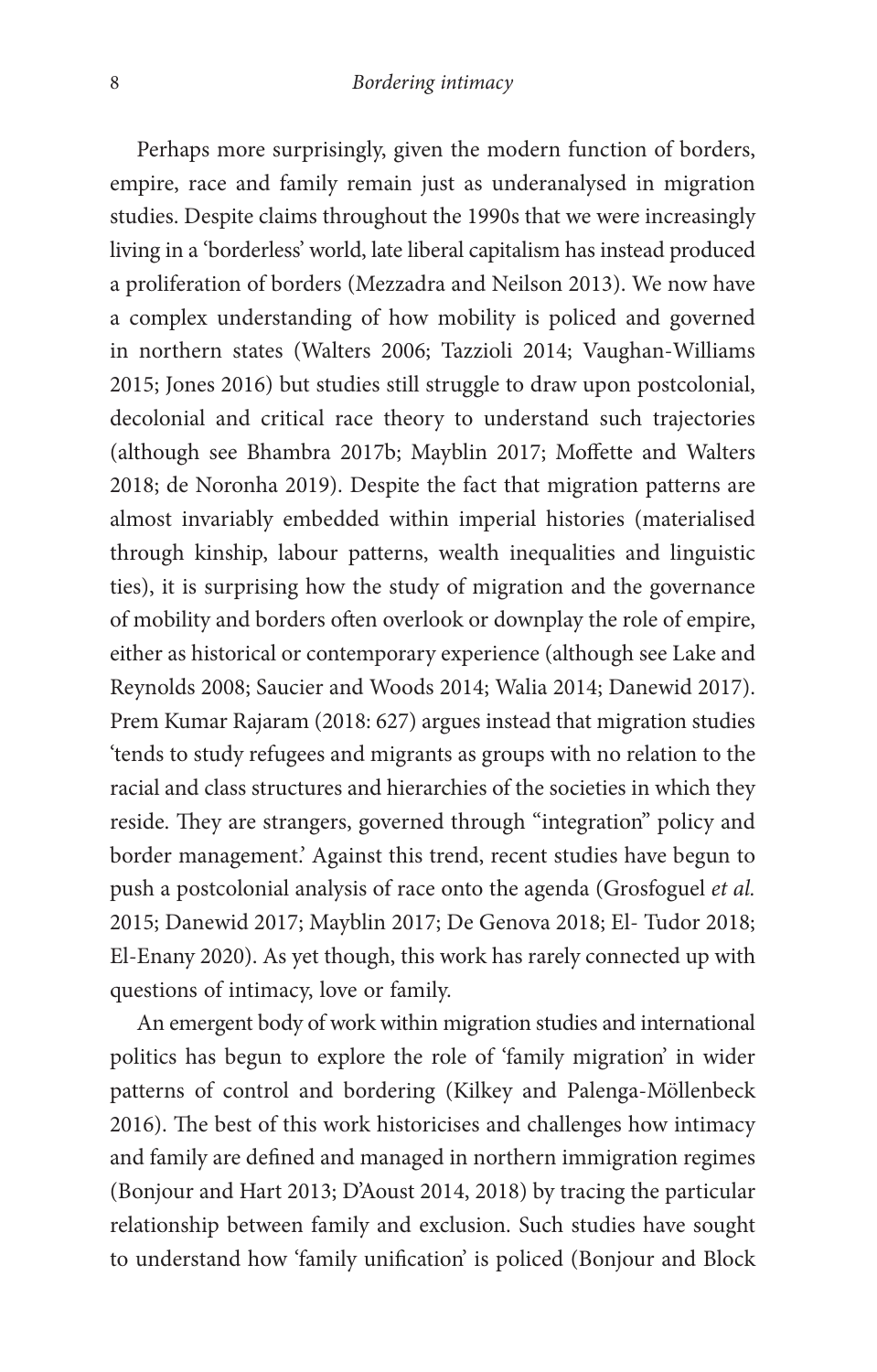Perhaps more surprisingly, given the modern function of borders, empire, race and family remain just as underanalysed in migration studies. Despite claims throughout the 1990s that we were increasingly living in a 'borderless' world, late liberal capitalism has instead produced a proliferation of borders ( Mezzadra and Neilson 2013 ). We now have a complex understanding of how mobility is policed and governed in northern states (Walters 2006; Tazzioli 2014; Vaughan-Williams 2015 ; Jones 2016 ) but studies still struggle to draw upon postcolonial, decolonial and critical race theory to understand such trajectories (although see Bhambra 2017b; Mayblin 2017; Moffette and Walters 2018 ; de Noronha 2019). Despite the fact that migration patterns are almost invariably embedded within imperial histories (materialised through kinship, labour patterns, wealth inequalities and linguistic ties), it is surprising how the study of migration and the governance of mobility and borders often overlook or downplay the role of empire, either as historical or contemporary experience (although see Lake and Reynolds 2008; Saucier and Woods 2014; Walia 2014; Danewid 2017). Prem Kumar Rajaram (2018: 627) argues instead that migration studies 'tends to study refugees and migrants as groups with no relation to the racial and class structures and hierarchies of the societies in which they reside. They are strangers, governed through "integration" policy and border management.' Against this trend, recent studies have begun to push a postcolonial analysis of race onto the agenda ( Grosfoguel *et al.* 2015; Danewid 2017; Mayblin 2017; De Genova 2018; El- Tudor 2018; El-Enany 2020). As yet though, this work has rarely connected up with questions of intimacy, love or family.

 An emergent body of work within migration studies and international politics has begun to explore the role of 'family migration' in wider patterns of control and bordering (Kilkey and Palenga-Möllenbeck 2016). The best of this work historicises and challenges how intimacy and family are defined and managed in northern immigration regimes (Bonjour and Hart 2013; D'Aoust 2014, 2018) by tracing the particular relationship between family and exclusion. Such studies have sought to understand how 'family unification' is policed (Bonjour and Block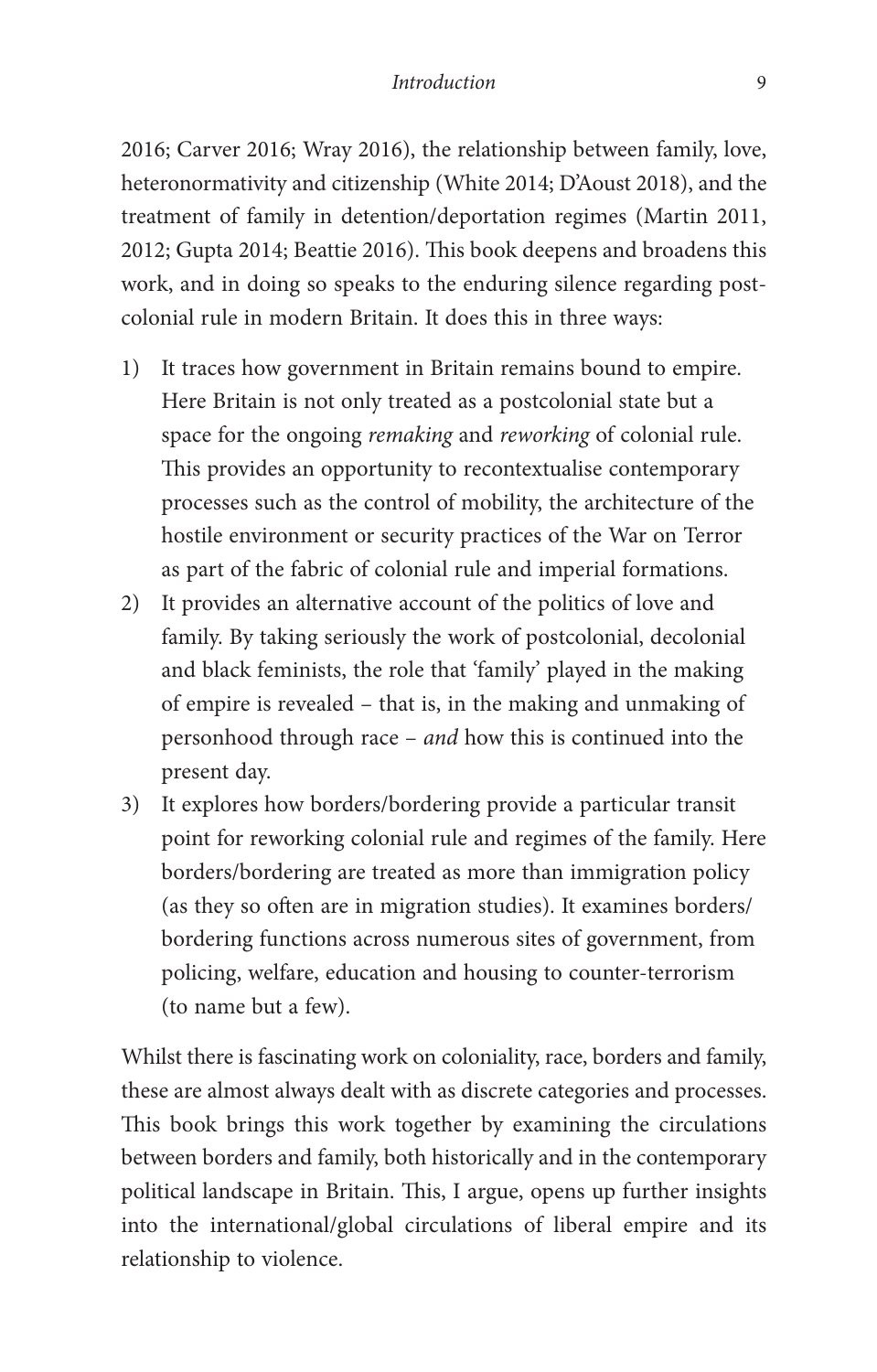2016; Carver 2016; Wray 2016), the relationship between family, love, heteronormativity and citizenship (White 2014; D'Aoust 2018), and the treatment of family in detention/deportation regimes ( Martin 2011, 2012; Gupta 2014; Beattie 2016). This book deepens and broadens this work, and in doing so speaks to the enduring silence regarding postcolonial rule in modern Britain. It does this in three ways:

- 1) It traces how government in Britain remains bound to empire. Here Britain is not only treated as a postcolonial state but a space for the ongoing *remaking* and *reworking* of colonial rule. This provides an opportunity to recontextualise contemporary processes such as the control of mobility, the architecture of the hostile environment or security practices of the War on Terror as part of the fabric of colonial rule and imperial formations.
- 2) It provides an alternative account of the politics of love and family. By taking seriously the work of postcolonial, decolonial and black feminists, the role that 'family' played in the making of empire is revealed – that is, in the making and unmaking of personhood through race – *and* how this is continued into the present day.
- 3) It explores how borders/bordering provide a particular transit point for reworking colonial rule and regimes of the family. Here borders/bordering are treated as more than immigration policy (as they so often are in migration studies). It examines borders/ bordering functions across numerous sites of government, from policing, welfare, education and housing to counter-terrorism (to name but a few).

 Whilst there is fascinating work on coloniality, race, borders and family, these are almost always dealt with as discrete categories and processes. This book brings this work together by examining the circulations between borders and family, both historically and in the contemporary political landscape in Britain. This, I argue, opens up further insights into the international/global circulations of liberal empire and its relationship to violence.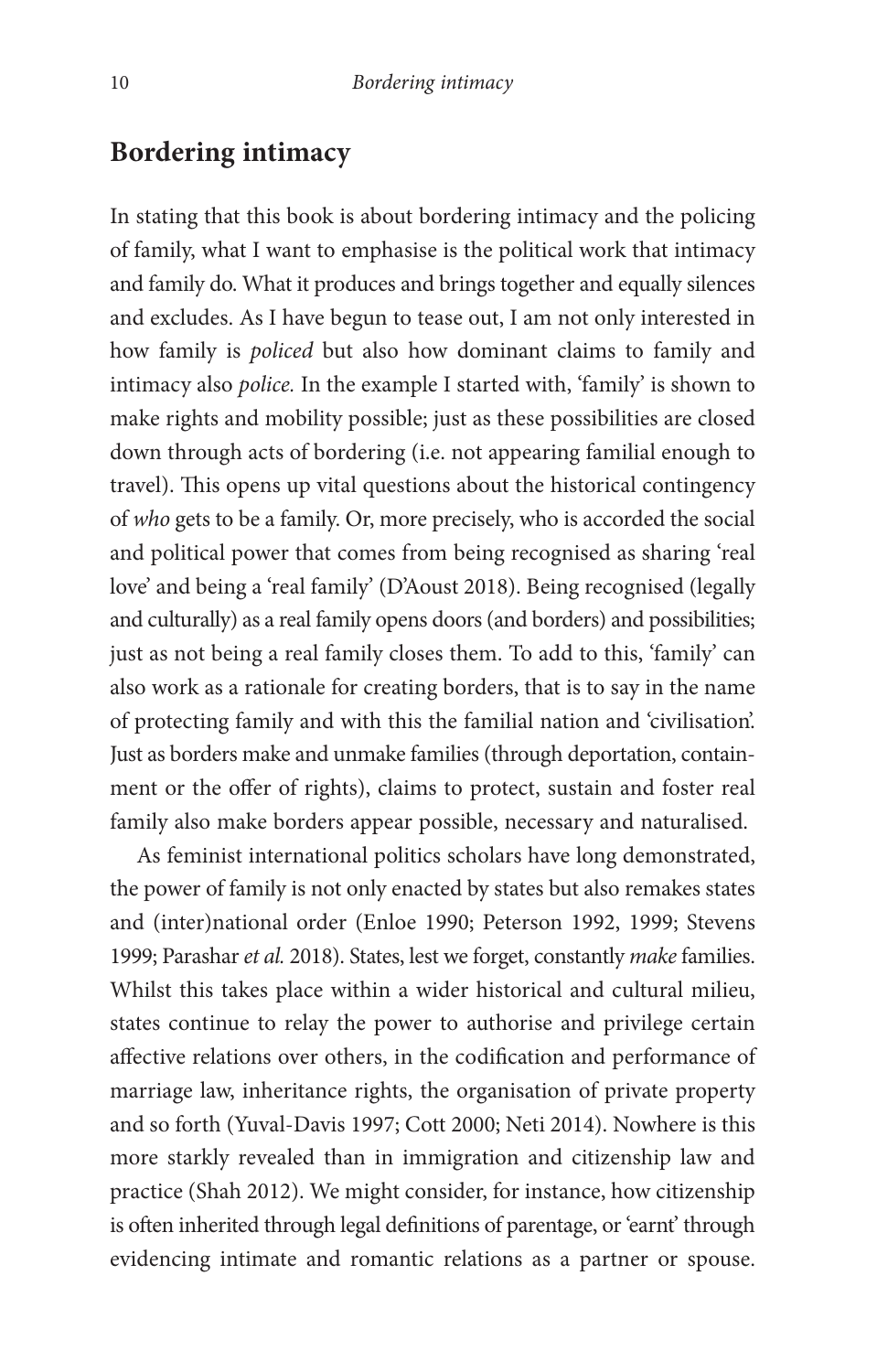# **Bordering intimacy**

 In stating that this book is about bordering intimacy and the policing of family, what I want to emphasise is the political work that intimacy and family do. What it produces and brings together and equally silences and excludes. As I have begun to tease out, I am not only interested in how family is *policed* but also how dominant claims to family and intimacy also *police.* In the example I started with, 'family' is shown to make rights and mobility possible; just as these possibilities are closed down through acts of bordering (i.e. not appearing familial enough to travel). This opens up vital questions about the historical contingency of *who* gets to be a family. Or, more precisely, who is accorded the social and political power that comes from being recognised as sharing 'real love' and being a 'real family' (D'Aoust 2018). Being recognised (legally and culturally) as a real family opens doors (and borders) and possibilities; just as not being a real family closes them. To add to this, 'family' can also work as a rationale for creating borders, that is to say in the name of protecting family and with this the familial nation and 'civilisation'. Just as borders make and unmake families (through deportation, containment or the offer of rights), claims to protect, sustain and foster real family also make borders appear possible, necessary and naturalised.

 As feminist international politics scholars have long demonstrated, the power of family is not only enacted by states but also remakes states and (inter)national order (Enloe 1990; Peterson 1992, 1999; Stevens 1999 ; Parashar *et al.* 2018 ). States, lest we forget, constantly *make* families. Whilst this takes place within a wider historical and cultural milieu, states continue to relay the power to authorise and privilege certain affective relations over others, in the codification and performance of marriage law, inheritance rights, the organisation of private property and so forth (Yuval-Davis 1997; Cott 2000; Neti 2014). Nowhere is this more starkly revealed than in immigration and citizenship law and practice (Shah 2012). We might consider, for instance, how citizenship is often inherited through legal definitions of parentage, or 'earnt' through evidencing intimate and romantic relations as a partner or spouse.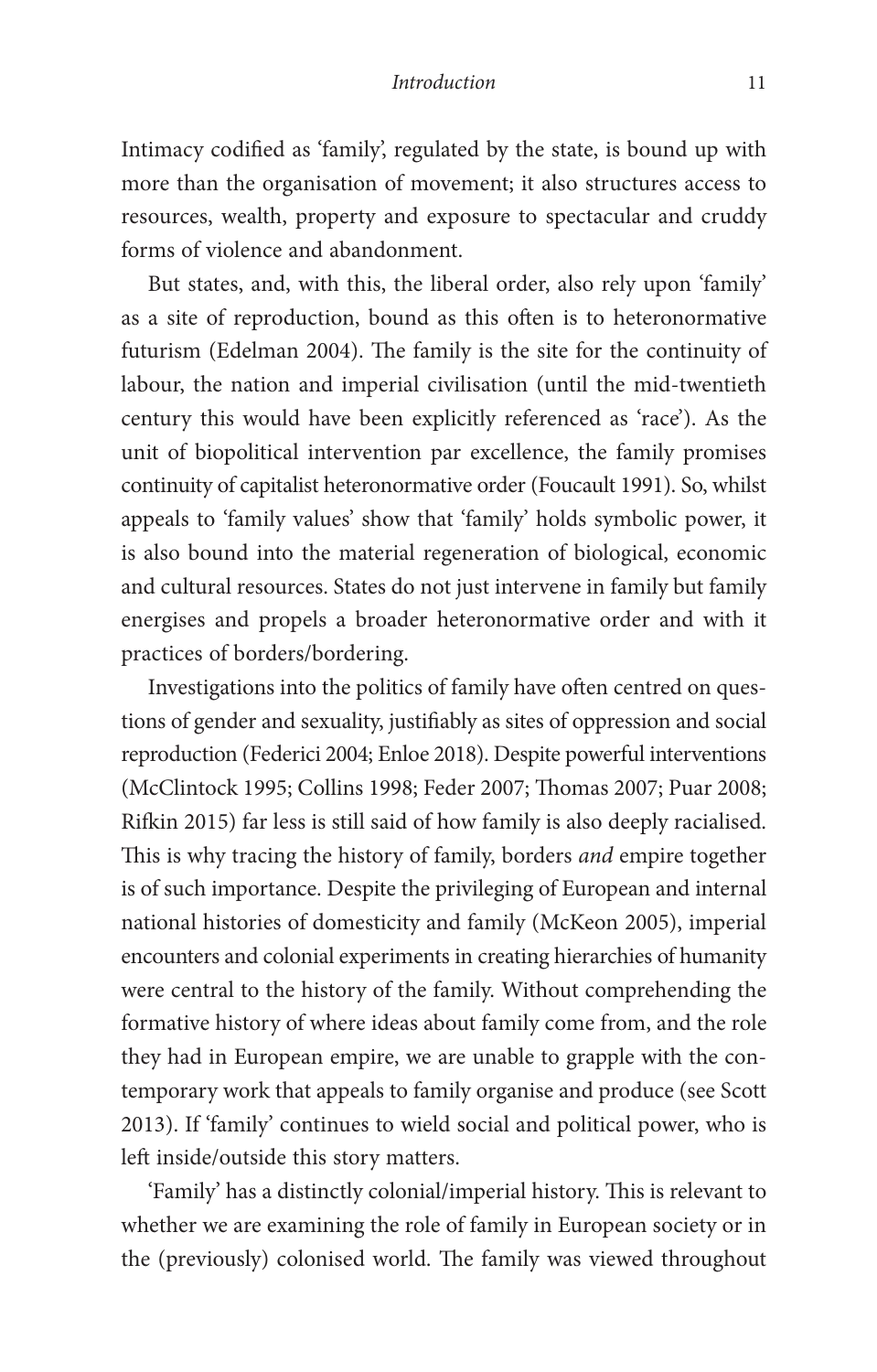Intimacy codified as 'family', regulated by the state, is bound up with more than the organisation of movement; it also structures access to resources, wealth, property and exposure to spectacular and cruddy forms of violence and abandonment.

 But states, and, with this, the liberal order, also rely upon 'family' as a site of reproduction, bound as this often is to heteronormative futurism (Edelman 2004). The family is the site for the continuity of labour, the nation and imperial civilisation (until the mid-twentieth century this would have been explicitly referenced as 'race'). As the unit of biopolitical intervention par excellence, the family promises continuity of capitalist heteronormative order (Foucault 1991). So, whilst appeals to 'family values' show that 'family' holds symbolic power, it is also bound into the material regeneration of biological, economic and cultural resources. States do not just intervene in family but family energises and propels a broader heteronormative order and with it practices of borders/bordering.

Investigations into the politics of family have often centred on questions of gender and sexuality, justifiably as sites of oppression and social reproduction (Federici 2004; Enloe 2018). Despite powerful interventions (McClintock 1995; Collins 1998; Feder 2007; Thomas 2007; Puar 2008; Rifkin 2015) far less is still said of how family is also deeply racialised. This is why tracing the history of family, borders *and* empire together is of such importance. Despite the privileging of European and internal national histories of domesticity and family (McKeon 2005), imperial encounters and colonial experiments in creating hierarchies of humanity were central to the history of the family. Without comprehending the formative history of where ideas about family come from, and the role they had in European empire, we are unable to grapple with the contemporary work that appeals to family organise and produce (see Scott 2013 ). If 'family' continues to wield social and political power, who is left inside/outside this story matters.

'Family' has a distinctly colonial/imperial history. This is relevant to whether we are examining the role of family in European society or in the (previously) colonised world. The family was viewed throughout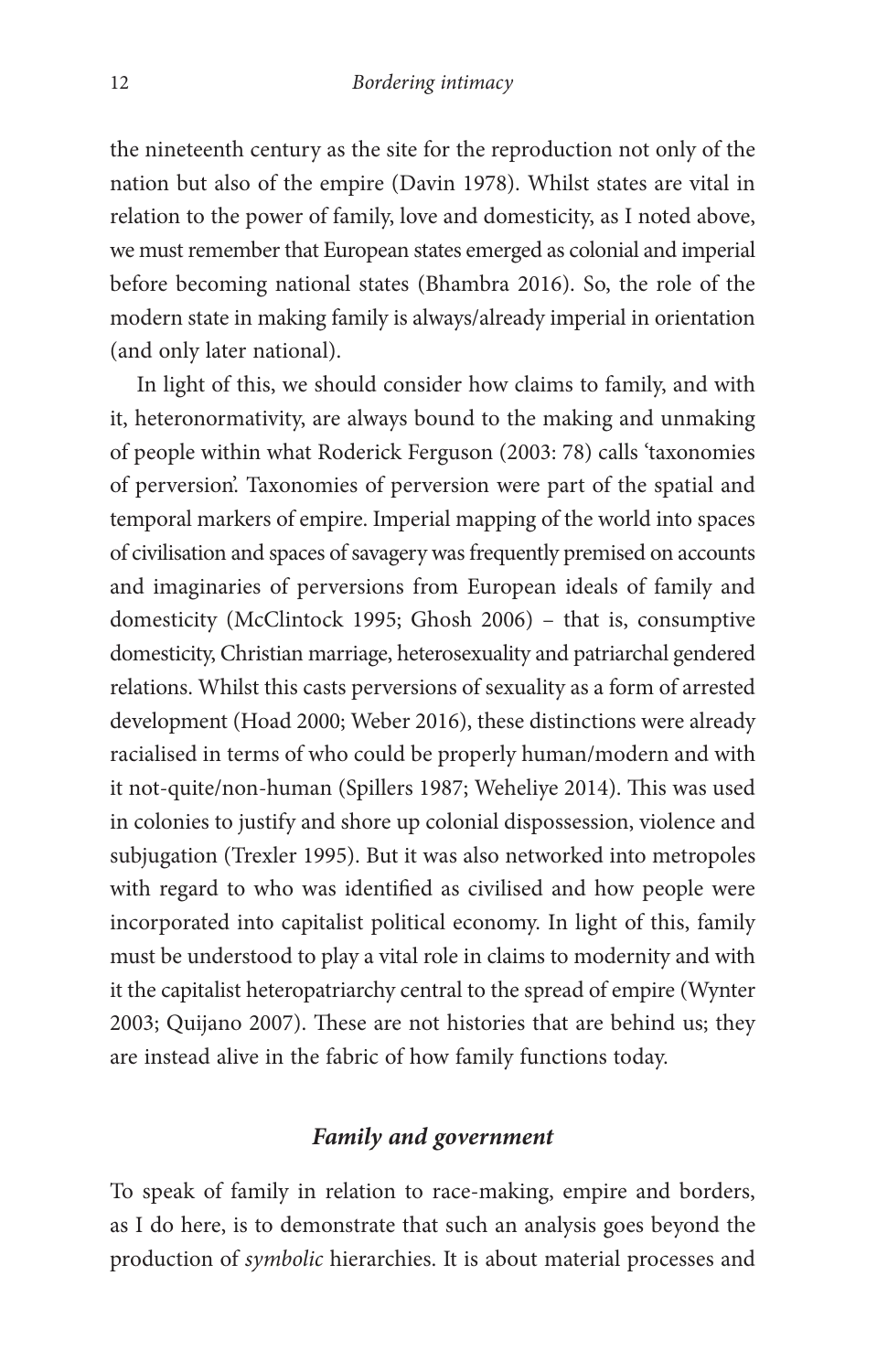the nineteenth century as the site for the reproduction not only of the nation but also of the empire (Davin 1978). Whilst states are vital in relation to the power of family, love and domesticity, as I noted above, we must remember that European states emerged as colonial and imperial before becoming national states ( Bhambra 2016 ). So, the role of the modern state in making family is always/already imperial in orientation (and only later national).

 In light of this, we should consider how claims to family, and with it, heteronormativity, are always bound to the making and unmaking of people within what Roderick Ferguson ( 2003 : 78) calls 'taxonomies of perversion'. Taxonomies of perversion were part of the spatial and temporal markers of empire. Imperial mapping of the world into spaces of civilisation and spaces of savagery was frequently premised on accounts and imaginaries of perversions from European ideals of family and domesticity (McClintock 1995; Ghosh 2006) - that is, consumptive domesticity, Christian marriage, heterosexuality and patriarchal gendered relations. Whilst this casts perversions of sexuality as a form of arrested development (Hoad 2000; Weber 2016), these distinctions were already racialised in terms of who could be properly human/modern and with it not-quite/non-human (Spillers 1987; Weheliye 2014). This was used in colonies to justify and shore up colonial dispossession, violence and subjugation (Trexler 1995). But it was also networked into metropoles with regard to who was identified as civilised and how people were incorporated into capitalist political economy. In light of this, family must be understood to play a vital role in claims to modernity and with it the capitalist heteropatriarchy central to the spread of empire ( Wynter 2003; Quijano 2007). These are not histories that are behind us; they are instead alive in the fabric of how family functions today.

#### *Family and government*

 To speak of family in relation to race-making, empire and borders, as I do here, is to demonstrate that such an analysis goes beyond the production of *symbolic* hierarchies. It is about material processes and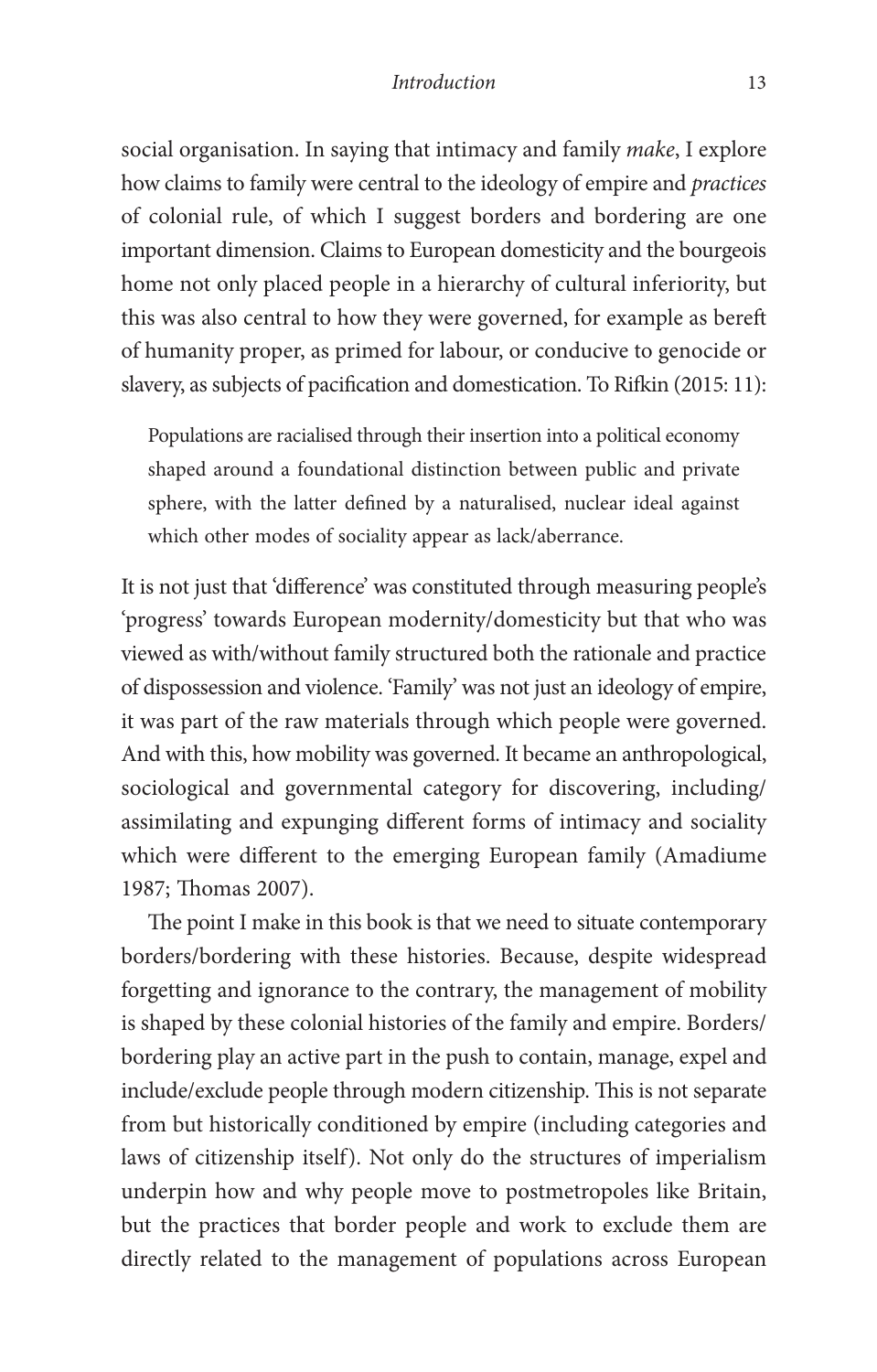#### *Introduction* 13

social organisation. In saying that intimacy and family *make* , I explore how claims to family were central to the ideology of empire and *practices* of colonial rule, of which I suggest borders and bordering are one important dimension. Claims to European domesticity and the bourgeois home not only placed people in a hierarchy of cultural inferiority, but this was also central to how they were governed, for example as bereft of humanity proper, as primed for labour, or conducive to genocide or slavery, as subjects of pacification and domestication. To Rifkin (2015: 11):

 Populations are racialised through their insertion into a political economy shaped around a foundational distinction between public and private sphere, with the latter defined by a naturalised, nuclear ideal against which other modes of sociality appear as lack/aberrance.

It is not just that 'difference' was constituted through measuring people's 'progress' towards European modernity/domesticity but that who was viewed as with/without family structured both the rationale and practice of dispossession and violence. 'Family' was not just an ideology of empire, it was part of the raw materials through which people were governed. And with this, how mobility was governed. It became an anthropological, sociological and governmental category for discovering, including/ assimilating and expunging different forms of intimacy and sociality which were different to the emerging European family (Amadiume 1987; Thomas 2007).

The point I make in this book is that we need to situate contemporary borders/bordering with these histories. Because, despite widespread forgetting and ignorance to the contrary, the management of mobility is shaped by these colonial histories of the family and empire. Borders/ bordering play an active part in the push to contain, manage, expel and include/exclude people through modern citizenship. This is not separate from but historically conditioned by empire (including categories and laws of citizenship itself). Not only do the structures of imperialism underpin how and why people move to postmetropoles like Britain, but the practices that border people and work to exclude them are directly related to the management of populations across European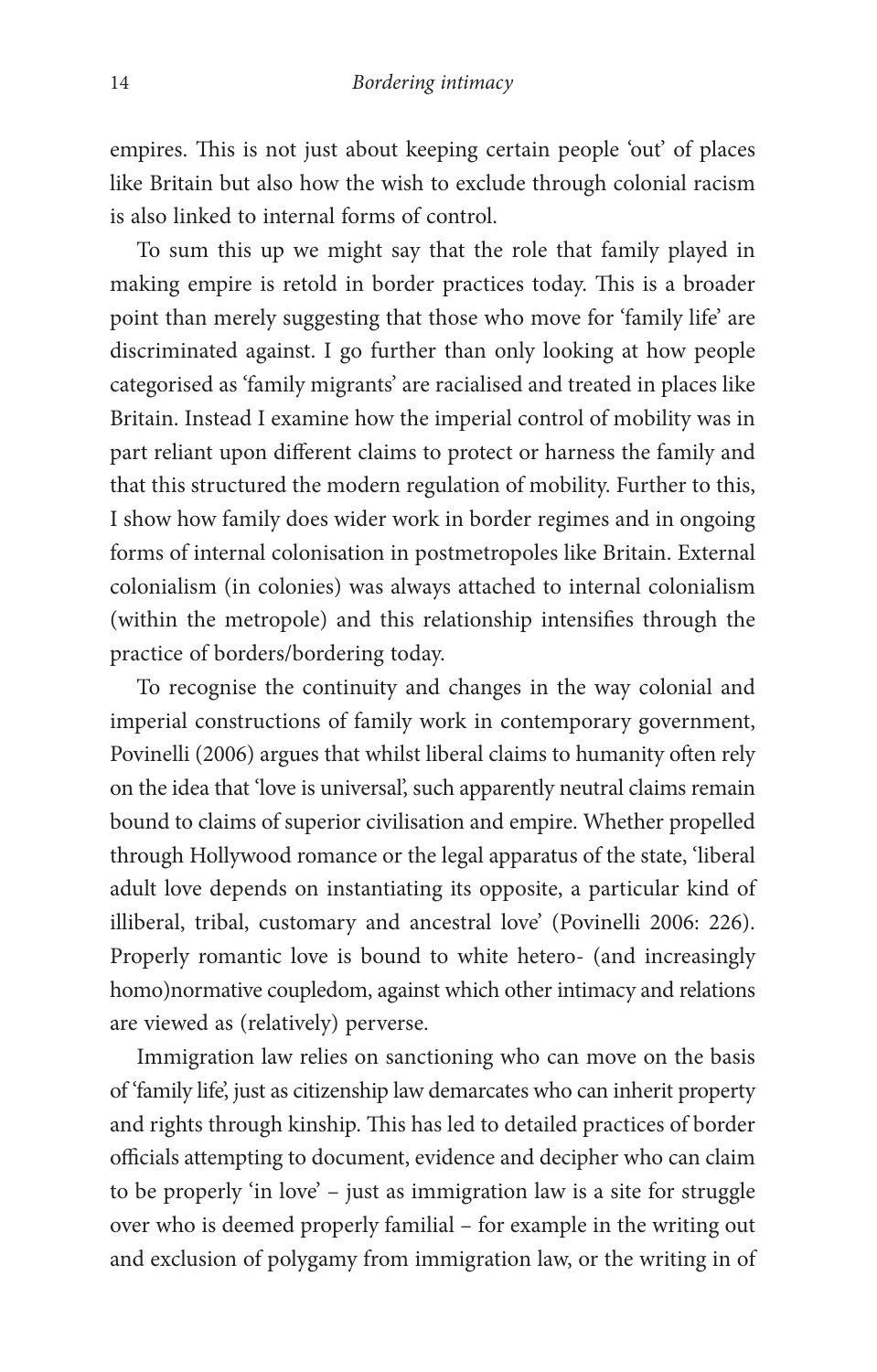empires. This is not just about keeping certain people 'out' of places like Britain but also how the wish to exclude through colonial racism is also linked to internal forms of control.

 To sum this up we might say that the role that family played in making empire is retold in border practices today. This is a broader point than merely suggesting that those who move for 'family life' are discriminated against. I go further than only looking at how people categorised as 'family migrants' are racialised and treated in places like Britain. Instead I examine how the imperial control of mobility was in part reliant upon different claims to protect or harness the family and that this structured the modern regulation of mobility. Further to this, I show how family does wider work in border regimes and in ongoing forms of internal colonisation in postmetropoles like Britain. External colonialism (in colonies) was always attached to internal colonialism (within the metropole) and this relationship intensifies through the practice of borders/bordering today.

 To recognise the continuity and changes in the way colonial and imperial constructions of family work in contemporary government, Povinelli (2006) argues that whilst liberal claims to humanity often rely on the idea that 'love is universal', such apparently neutral claims remain bound to claims of superior civilisation and empire. Whether propelled through Hollywood romance or the legal apparatus of the state, 'liberal adult love depends on instantiating its opposite, a particular kind of illiberal, tribal, customary and ancestral love' (Povinelli 2006: 226). Properly romantic love is bound to white hetero- (and increasingly homo)normative coupledom, against which other intimacy and relations are viewed as (relatively) perverse.

 Immigration law relies on sanctioning who can move on the basis of 'family life', just as citizenship law demarcates who can inherit property and rights through kinship. This has led to detailed practices of border officials attempting to document, evidence and decipher who can claim to be properly 'in love' – just as immigration law is a site for struggle over who is deemed properly familial – for example in the writing out and exclusion of polygamy from immigration law, or the writing in of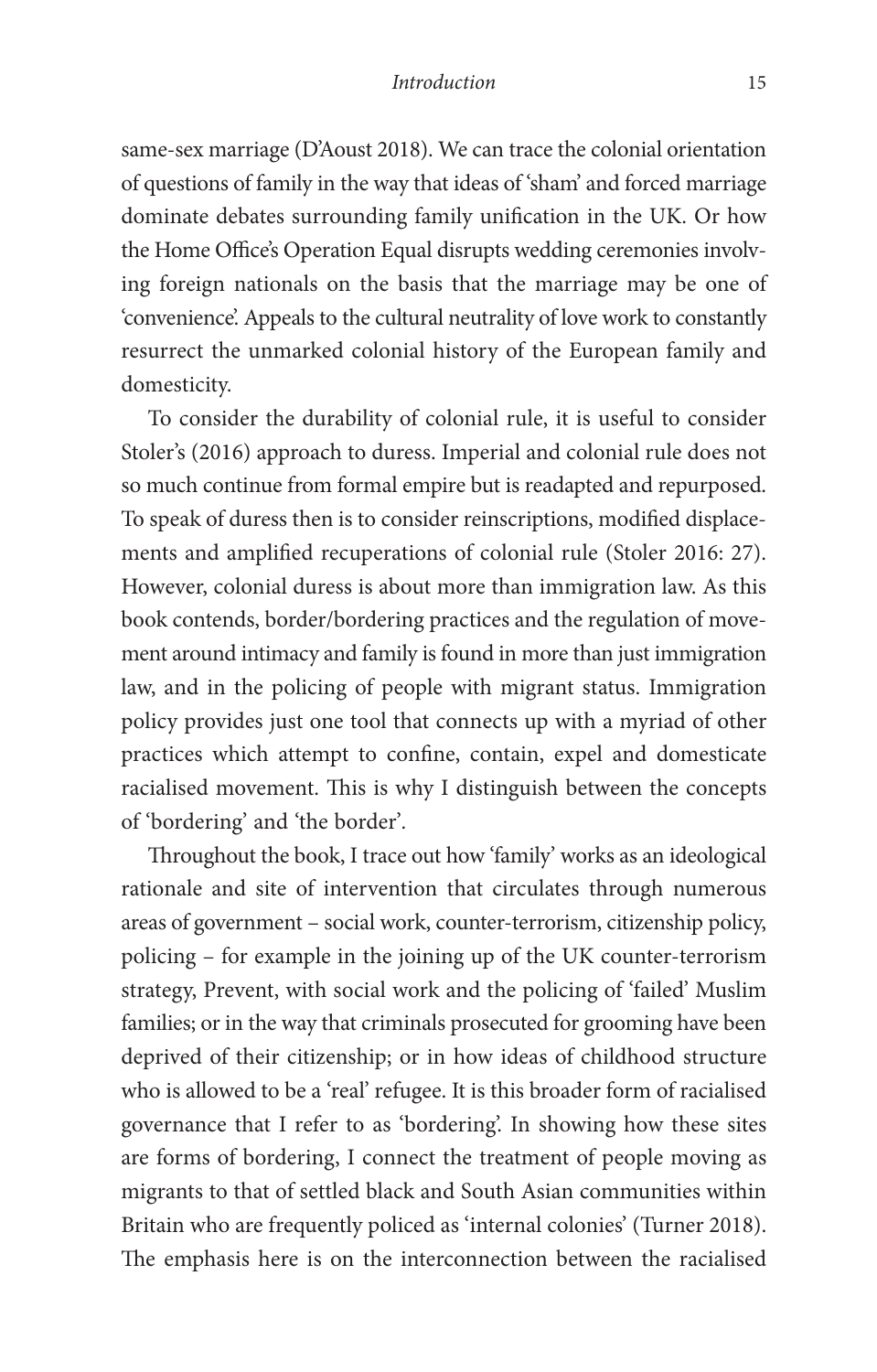same-sex marriage (D'Aoust 2018). We can trace the colonial orientation of questions of family in the way that ideas of 'sham' and forced marriage dominate debates surrounding family unification in the UK. Or how the Home Office's Operation Equal disrupts wedding ceremonies involving foreign nationals on the basis that the marriage may be one of 'convenience'. Appeals to the cultural neutrality of love work to constantly resurrect the unmarked colonial history of the European family and domesticity.

 To consider the durability of colonial rule, it is useful to consider Stoler's (2016) approach to duress. Imperial and colonial rule does not so much continue from formal empire but is readapted and repurposed. To speak of duress then is to consider reinscriptions, modified displacements and amplified recuperations of colonial rule (Stoler 2016: 27). However, colonial duress is about more than immigration law. As this book contends, border/bordering practices and the regulation of movement around intimacy and family is found in more than just immigration law, and in the policing of people with migrant status. Immigration policy provides just one tool that connects up with a myriad of other practices which attempt to confine, contain, expel and domesticate racialised movement. This is why I distinguish between the concepts of 'bordering' and 'the border' *.*

Throughout the book, I trace out how 'family' works as an ideological rationale and site of intervention that circulates through numerous areas of government – social work, counter-terrorism, citizenship policy, policing – for example in the joining up of the UK counter-terrorism strategy, Prevent, with social work and the policing of 'failed' Muslim families; or in the way that criminals prosecuted for grooming have been deprived of their citizenship; or in how ideas of childhood structure who is allowed to be a 'real' refugee. It is this broader form of racialised governance that I refer to as 'bordering'. In showing how these sites are forms of bordering, I connect the treatment of people moving as migrants to that of settled black and South Asian communities within Britain who are frequently policed as 'internal colonies' (Turner 2018). The emphasis here is on the interconnection between the racialised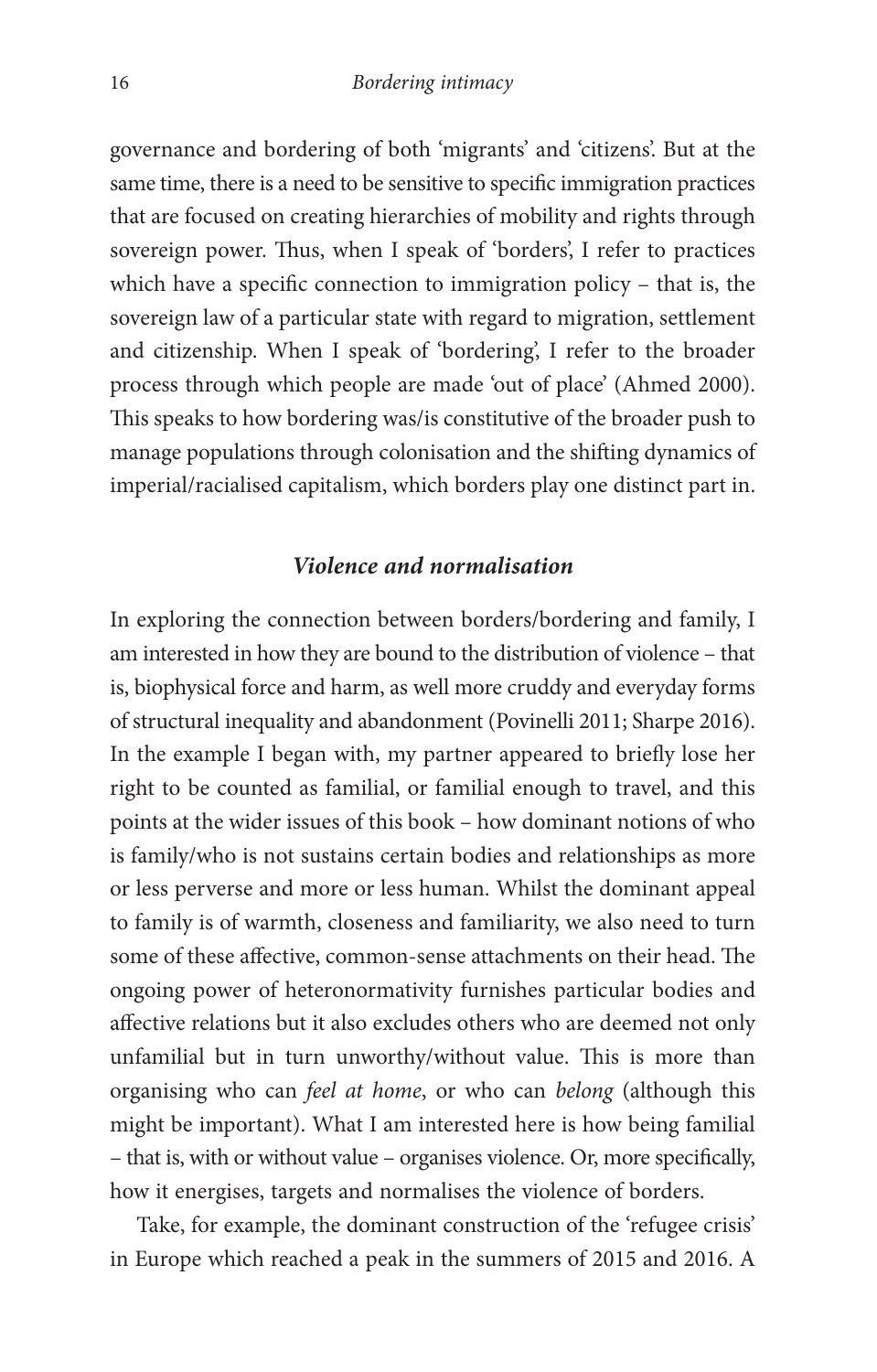governance and bordering of both 'migrants' and 'citizens'. But at the same time, there is a need to be sensitive to specific immigration practices that are focused on creating hierarchies of mobility and rights through sovereign power. Thus, when I speak of 'borders', I refer to practices which have a specific connection to immigration policy – that is, the sovereign law of a particular state with regard to migration, settlement and citizenship. When I speak of 'bordering', I refer to the broader process through which people are made 'out of place' (Ahmed 2000). This speaks to how bordering was/is constitutive of the broader push to manage populations through colonisation and the shifting dynamics of imperial/racialised capitalism, which borders play one distinct part in.

## *Violence and normalisation*

 In exploring the connection between borders/bordering and family, I am interested in how they are bound to the distribution of violence – that is, biophysical force and harm, as well more cruddy and everyday forms of structural inequality and abandonment (Povinelli 2011; Sharpe 2016). In the example I began with, my partner appeared to briefly lose her right to be counted as familial, or familial enough to travel, and this points at the wider issues of this book – how dominant notions of who is family/who is not sustains certain bodies and relationships as more or less perverse and more or less human. Whilst the dominant appeal to family is of warmth, closeness and familiarity, we also need to turn some of these affective, common-sense attachments on their head. The ongoing power of heteronormativity furnishes particular bodies and affective relations but it also excludes others who are deemed not only unfamilial but in turn unworthy/without value. This is more than organising who can *feel at home* , or who can *belong* (although this might be important). What I am interested here is how being familial – that is, with or without value – organises violence. Or, more specifically, how it energises, targets and normalises the violence of borders.

 Take, for example, the dominant construction of the 'refugee crisis' in Europe which reached a peak in the summers of 2015 and 2016. A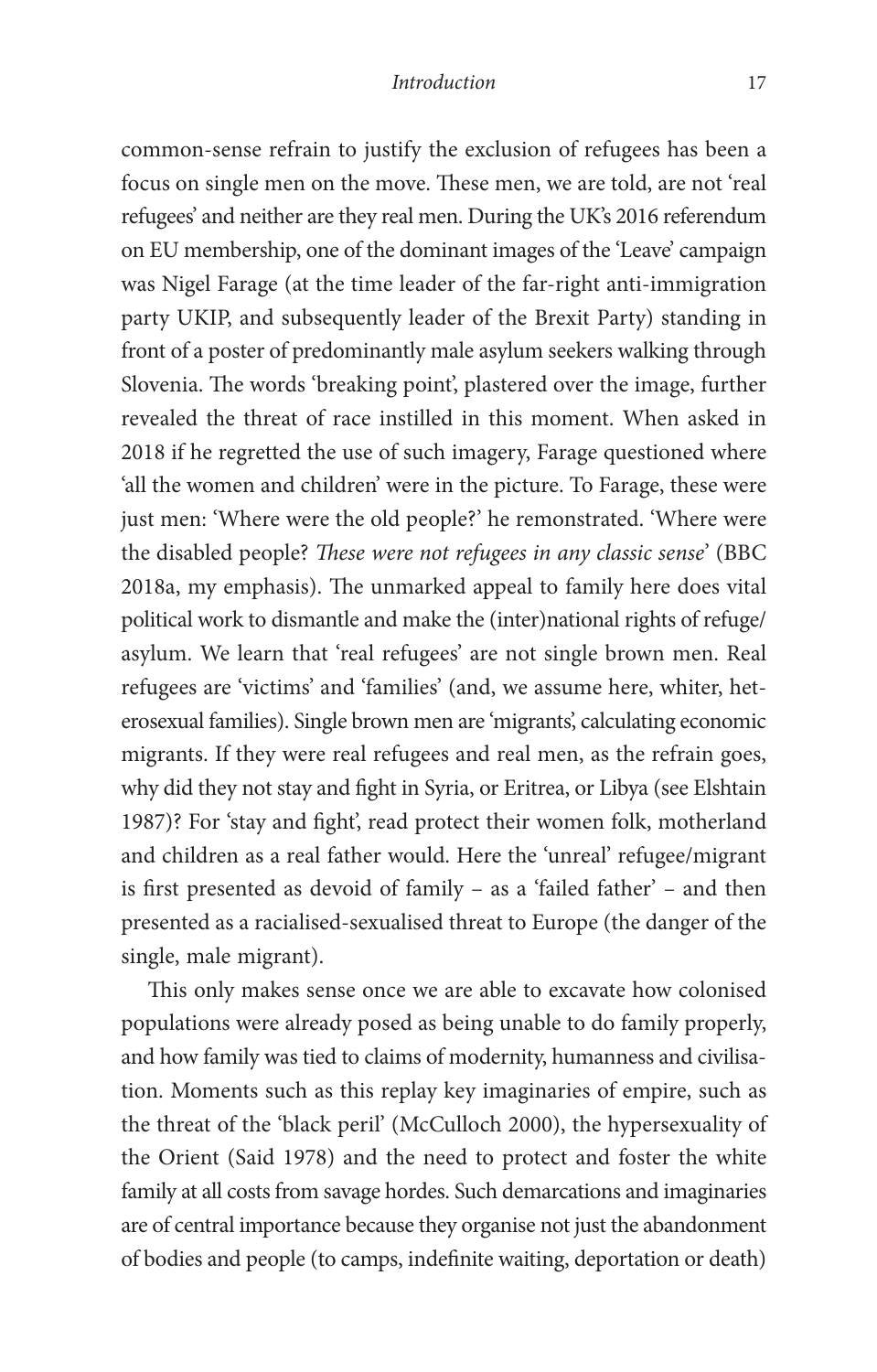common-sense refrain to justify the exclusion of refugees has been a focus on single men on the move. These men, we are told, are not 'real refugees' and neither are they real men. During the UK's 2016 referendum on EU membership, one of the dominant images of the 'Leave' campaign was Nigel Farage (at the time leader of the far-right anti-immigration party UKIP, and subsequently leader of the Brexit Party) standing in front of a poster of predominantly male asylum seekers walking through Slovenia. The words 'breaking point', plastered over the image, further revealed the threat of race instilled in this moment. When asked in 2018 if he regretted the use of such imagery, Farage questioned where 'all the women and children' were in the picture. To Farage, these were just men: 'Where were the old people?' he remonstrated. 'Where were the disabled people? *These were not refugees in any classic sense*' (BBC 2018a, my emphasis). The unmarked appeal to family here does vital political work to dismantle and make the (inter)national rights of refuge/ asylum. We learn that 'real refugees' are not single brown men. Real refugees are 'victims' and 'families' (and, we assume here, whiter, heterosexual families). Single brown men are 'migrants', calculating economic migrants. If they were real refugees and real men, as the refrain goes, why did they not stay and fight in Syria, or Eritrea, or Libya (see Elshtain 1987)? For 'stay and fight', read protect their women folk, motherland and children as a real father would. Here the 'unreal' refugee/migrant is first presented as devoid of family - as a 'failed father' - and then presented as a racialised-sexualised threat to Europe (the danger of the single, male migrant).

This only makes sense once we are able to excavate how colonised populations were already posed as being unable to do family properly, and how family was tied to claims of modernity, humanness and civilisation. Moments such as this replay key imaginaries of empire, such as the threat of the 'black peril' (McCulloch 2000), the hypersexuality of the Orient (Said 1978) and the need to protect and foster the white family at all costs from savage hordes. Such demarcations and imaginaries are of central importance because they organise not just the abandonment of bodies and people (to camps, indefinite waiting, deportation or death)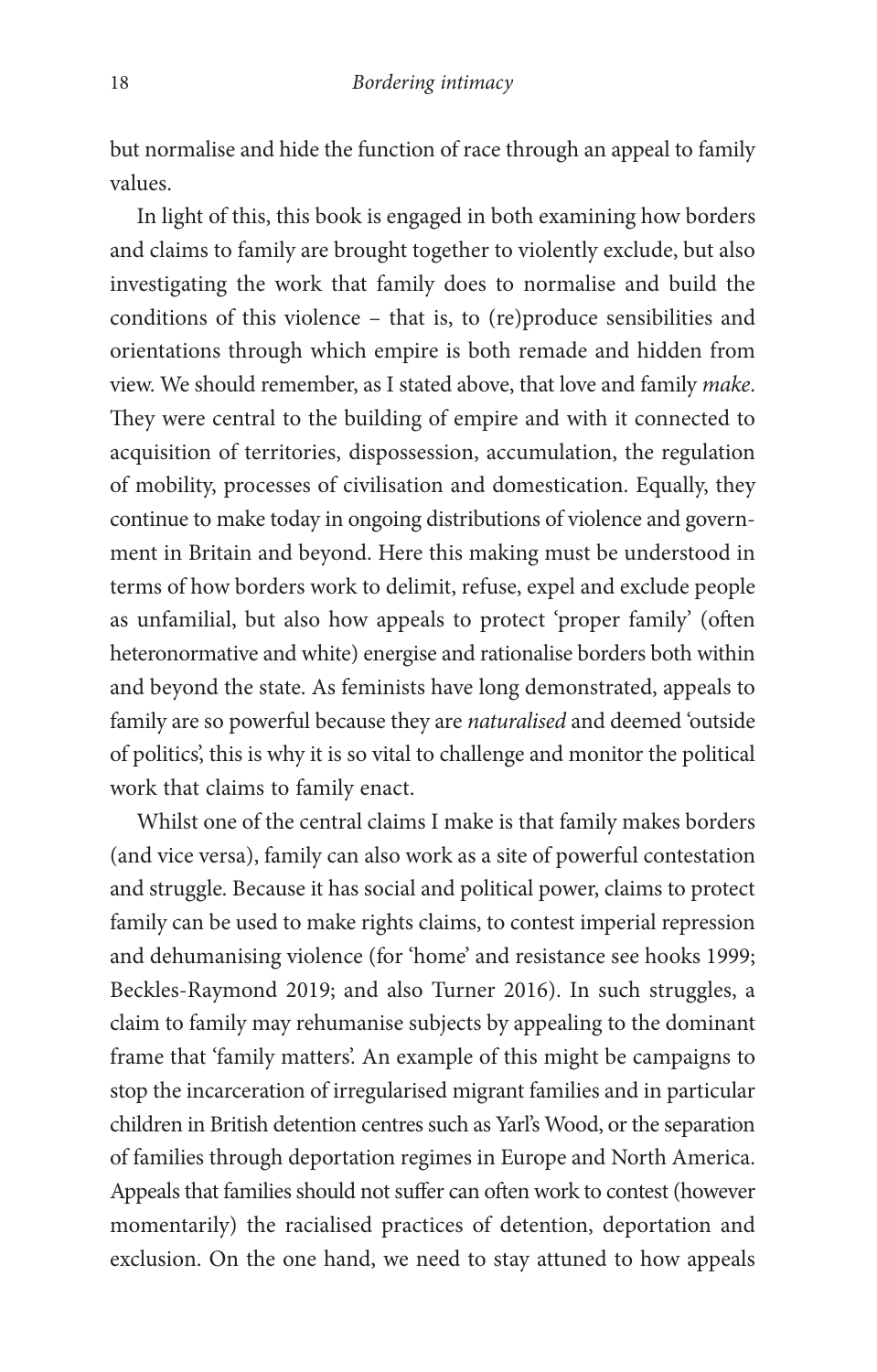but normalise and hide the function of race through an appeal to family values.

 In light of this, this book is engaged in both examining how borders and claims to family are brought together to violently exclude, but also investigating the work that family does to normalise and build the conditions of this violence – that is, to (re)produce sensibilities and orientations through which empire is both remade and hidden from view. We should remember, as I stated above, that love and family *make* . They were central to the building of empire and with it connected to acquisition of territories, dispossession, accumulation, the regulation of mobility, processes of civilisation and domestication. Equally, they continue to make today in ongoing distributions of violence and government in Britain and beyond. Here this making must be understood in terms of how borders work to delimit, refuse, expel and exclude people as unfamilial, but also how appeals to protect 'proper family' (often heteronormative and white) energise and rationalise borders both within and beyond the state. As feminists have long demonstrated, appeals to family are so powerful because they are *naturalised* and deemed 'outside of politics', this is why it is so vital to challenge and monitor the political work that claims to family enact.

 Whilst one of the central claims I make is that family makes borders (and vice versa), family can also work as a site of powerful contestation and struggle. Because it has social and political power, claims to protect family can be used to make rights claims, to contest imperial repression and dehumanising violence (for 'home' and resistance see hooks 1999; Beckles-Raymond 2019; and also Turner 2016). In such struggles, a claim to family may rehumanise subjects by appealing to the dominant frame that 'family matters'. An example of this might be campaigns to stop the incarceration of irregularised migrant families and in particular children in British detention centres such as Yarl's Wood, or the separation of families through deportation regimes in Europe and North America. Appeals that families should not suffer can often work to contest (however momentarily) the racialised practices of detention, deportation and exclusion. On the one hand, we need to stay attuned to how appeals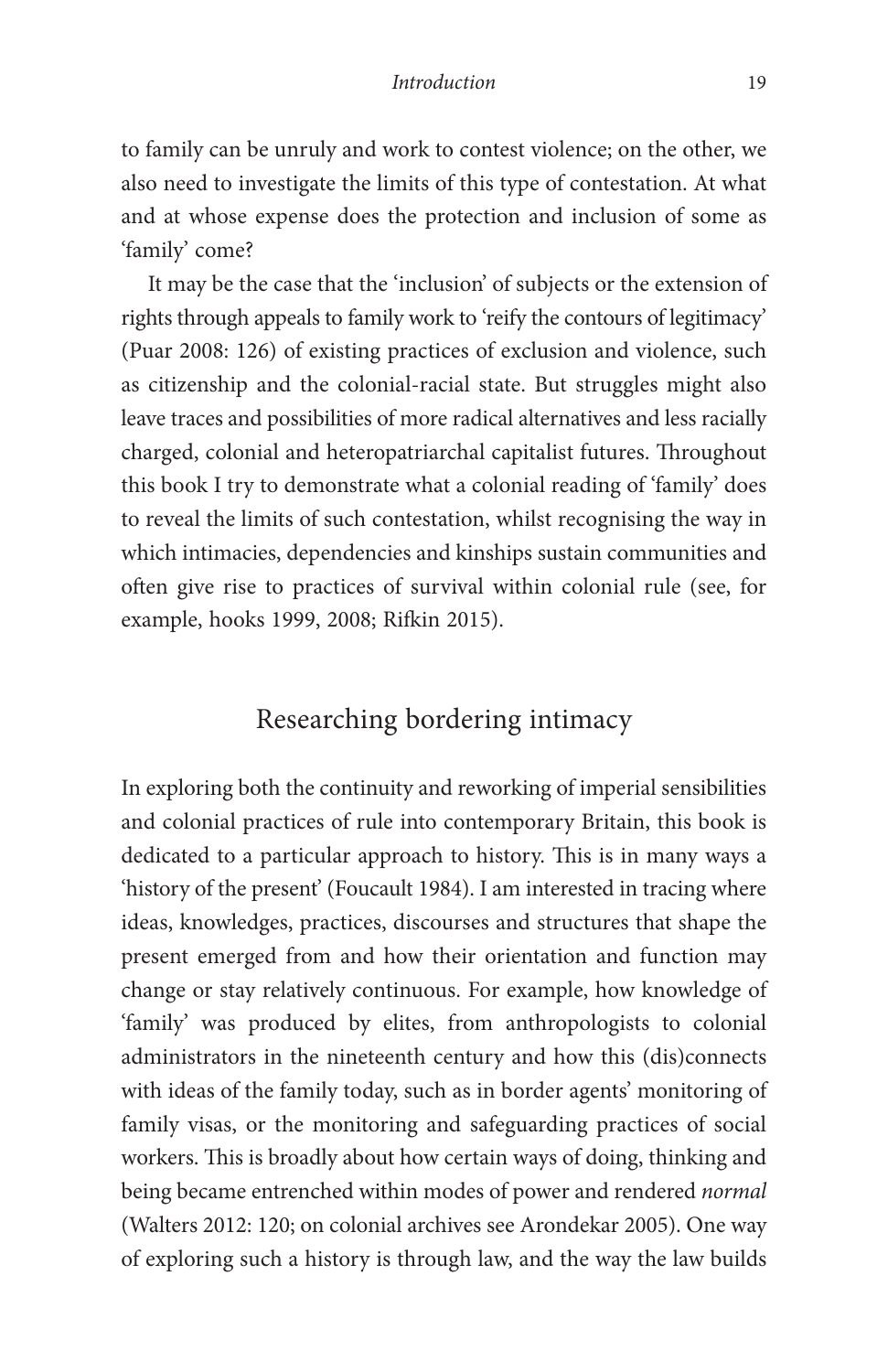to family can be unruly and work to contest violence; on the other, we also need to investigate the limits of this type of contestation. At what and at whose expense does the protection and inclusion of some as 'family' come?

 It may be the case that the 'inclusion' of subjects or the extension of rights through appeals to family work to 'reify the contours of legitimacy' (Puar 2008: 126) of existing practices of exclusion and violence, such as citizenship and the colonial-racial state. But struggles might also leave traces and possibilities of more radical alternatives and less racially charged, colonial and heteropatriarchal capitalist futures. Throughout this book I try to demonstrate what a colonial reading of 'family' does to reveal the limits of such contestation, whilst recognising the way in which intimacies, dependencies and kinships sustain communities and often give rise to practices of survival within colonial rule (see, for example, hooks 1999, 2008; Rifkin 2015).

# Researching bordering intimacy

 In exploring both the continuity and reworking of imperial sensibilities and colonial practices of rule into contemporary Britain, this book is dedicated to a particular approach to history. This is in many ways a 'history of the present' (Foucault 1984). I am interested in tracing where ideas, knowledges, practices, discourses and structures that shape the present emerged from and how their orientation and function may change or stay relatively continuous. For example, how knowledge of 'family' was produced by elites, from anthropologists to colonial administrators in the nineteenth century and how this (dis)connects with ideas of the family today, such as in border agents' monitoring of family visas, or the monitoring and safeguarding practices of social workers. This is broadly about how certain ways of doing, thinking and being became entrenched within modes of power and rendered *normal*  (Walters 2012: 120; on colonial archives see Arondekar 2005). One way of exploring such a history is through law, and the way the law builds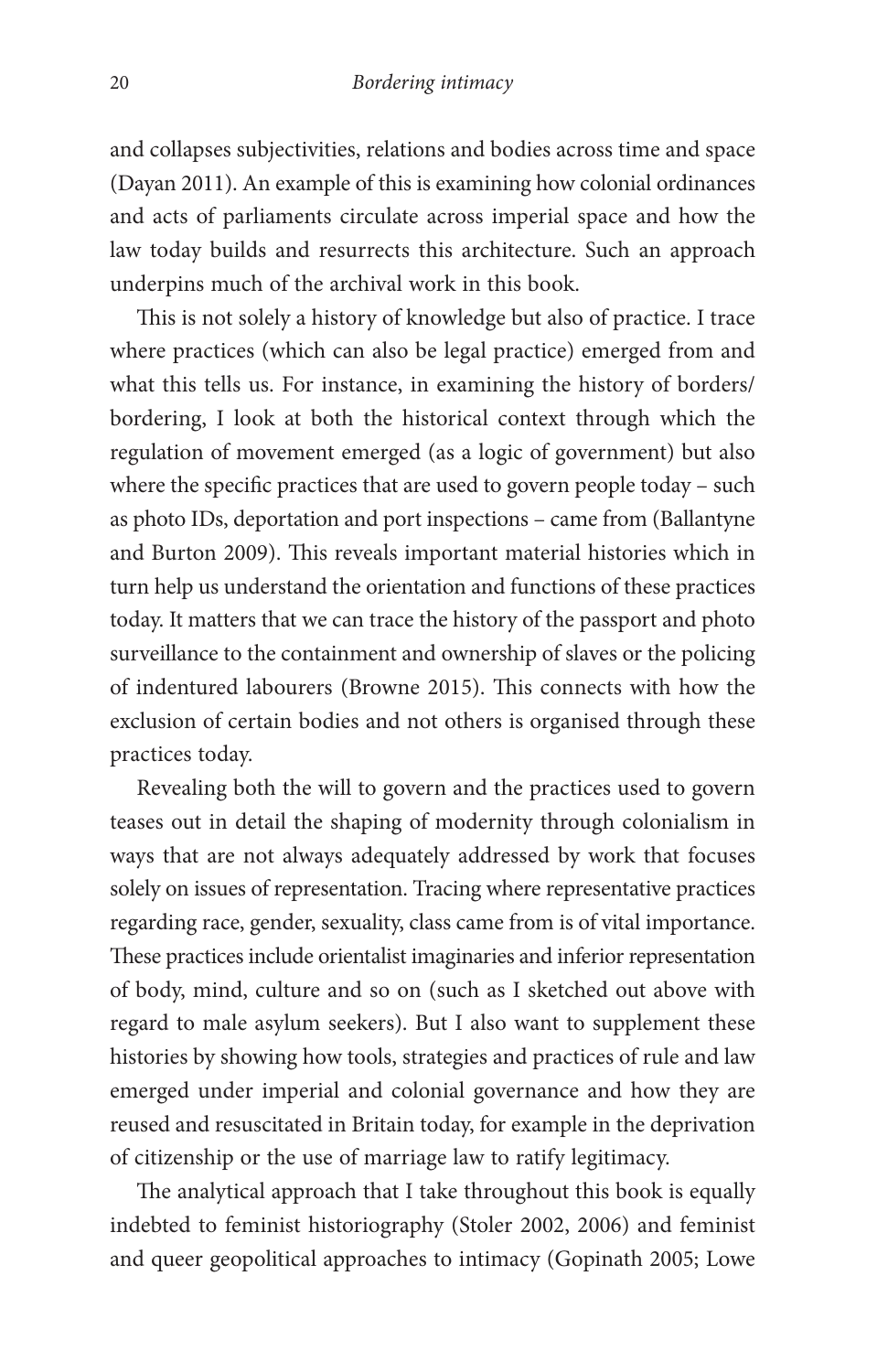and collapses subjectivities, relations and bodies across time and space ( Dayan 2011 ). An example of this is examining how colonial ordinances and acts of parliaments circulate across imperial space and how the law today builds and resurrects this architecture. Such an approach underpins much of the archival work in this book.

This is not solely a history of knowledge but also of practice. I trace where practices (which can also be legal practice) emerged from and what this tells us. For instance, in examining the history of borders/ bordering, I look at both the historical context through which the regulation of movement emerged (as a logic of government) but also where the specific practices that are used to govern people today – such as photo IDs, deportation and port inspections – came from ( Ballantyne and Burton 2009). This reveals important material histories which in turn help us understand the orientation and functions of these practices today. It matters that we can trace the history of the passport and photo surveillance to the containment and ownership of slaves or the policing of indentured labourers (Browne 2015). This connects with how the exclusion of certain bodies and not others is organised through these practices today.

 Revealing both the will to govern and the practices used to govern teases out in detail the shaping of modernity through colonialism in ways that are not always adequately addressed by work that focuses solely on issues of representation. Tracing where representative practices regarding race, gender, sexuality, class came from is of vital importance. These practices include orientalist imaginaries and inferior representation of body, mind, culture and so on (such as I sketched out above with regard to male asylum seekers). But I also want to supplement these histories by showing how tools, strategies and practices of rule and law emerged under imperial and colonial governance and how they are reused and resuscitated in Britain today, for example in the deprivation of citizenship or the use of marriage law to ratify legitimacy.

The analytical approach that I take throughout this book is equally indebted to feminist historiography (Stoler 2002, 2006) and feminist and queer geopolitical approaches to intimacy (Gopinath 2005; Lowe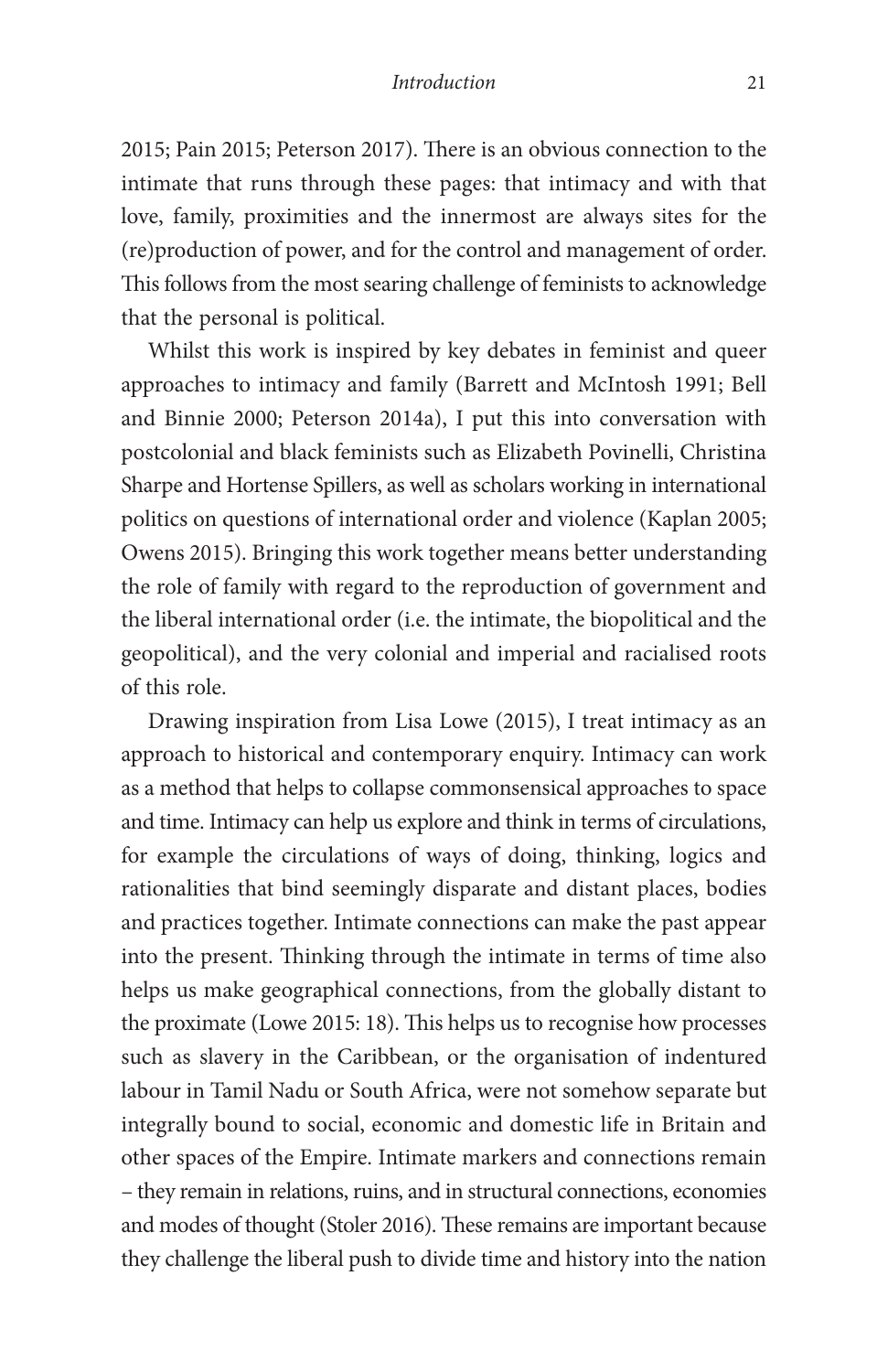2015; Pain 2015; Peterson 2017). There is an obvious connection to the intimate that runs through these pages: that intimacy and with that love, family, proximities and the innermost are always sites for the (re)production of power, and for the control and management of order. This follows from the most searing challenge of feminists to acknowledge that the personal is political.

 Whilst this work is inspired by key debates in feminist and queer approaches to intimacy and family (Barrett and McIntosh 1991; Bell and Binnie 2000; Peterson 2014a), I put this into conversation with postcolonial and black feminists such as Elizabeth Povinelli, Christina Sharpe and Hortense Spillers, as well as scholars working in international politics on questions of international order and violence (Kaplan 2005; Owens 2015). Bringing this work together means better understanding the role of family with regard to the reproduction of government and the liberal international order (i.e. the intimate, the biopolitical and the geopolitical), and the very colonial and imperial and racialised roots of this role.

Drawing inspiration from Lisa Lowe (2015), I treat intimacy as an approach to historical and contemporary enquiry. Intimacy can work as a method that helps to collapse commonsensical approaches to space and time. Intimacy can help us explore and think in terms of circulations, for example the circulations of ways of doing, thinking, logics and rationalities that bind seemingly disparate and distant places, bodies and practices together. Intimate connections can make the past appear into the present. Thinking through the intimate in terms of time also helps us make geographical connections, from the globally distant to the proximate (Lowe 2015: 18). This helps us to recognise how processes such as slavery in the Caribbean, or the organisation of indentured labour in Tamil Nadu or South Africa, were not somehow separate but integrally bound to social, economic and domestic life in Britain and other spaces of the Empire. Intimate markers and connections remain – they remain in relations, ruins, and in structural connections, economies and modes of thought (Stoler 2016). These remains are important because they challenge the liberal push to divide time and history into the nation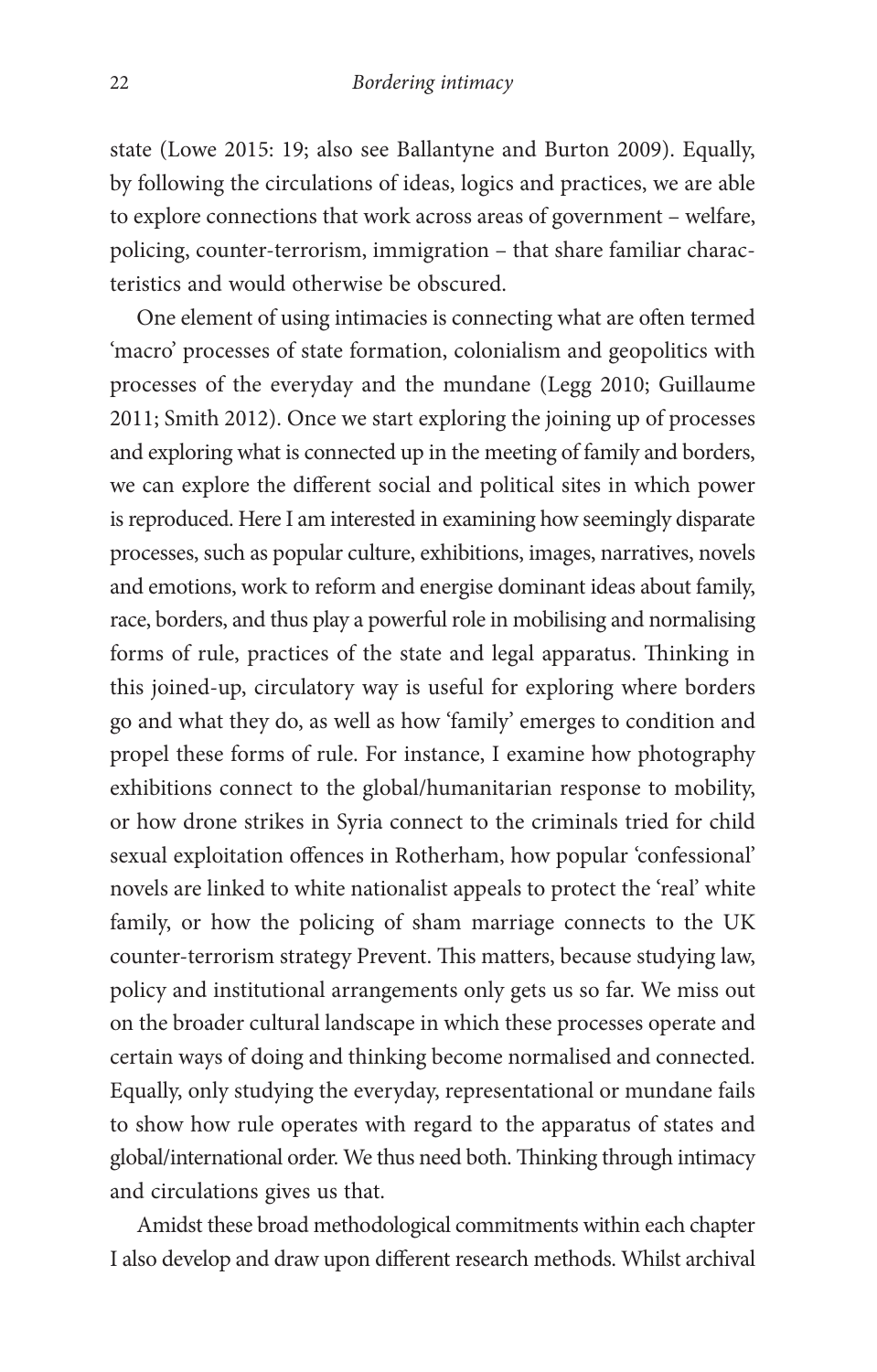state (Lowe 2015: 19; also see Ballantyne and Burton 2009). Equally, by following the circulations of ideas, logics and practices, we are able to explore connections that work across areas of government – welfare, policing, counter-terrorism, immigration – that share familiar characteristics and would otherwise be obscured.

One element of using intimacies is connecting what are often termed 'macro' processes of state formation, colonialism and geopolitics with processes of the everyday and the mundane (Legg 2010; Guillaume 2011 ; Smith 2012 ). Once we start exploring the joining up of processes and exploring what is connected up in the meeting of family and borders, we can explore the different social and political sites in which power is reproduced. Here I am interested in examining how seemingly disparate processes, such as popular culture, exhibitions, images, narratives, novels and emotions, work to reform and energise dominant ideas about family, race, borders, and thus play a powerful role in mobilising and normalising forms of rule, practices of the state and legal apparatus. Thinking in this joined-up, circulatory way is useful for exploring where borders go and what they do, as well as how 'family' emerges to condition and propel these forms of rule. For instance, I examine how photography exhibitions connect to the global/humanitarian response to mobility, or how drone strikes in Syria connect to the criminals tried for child sexual exploitation offences in Rotherham, how popular 'confessional' novels are linked to white nationalist appeals to protect the 'real' white family, or how the policing of sham marriage connects to the UK counter-terrorism strategy Prevent. This matters, because studying law, policy and institutional arrangements only gets us so far. We miss out on the broader cultural landscape in which these processes operate and certain ways of doing and thinking become normalised and connected. Equally, only studying the everyday, representational or mundane fails to show how rule operates with regard to the apparatus of states and global/international order. We thus need both. Thinking through intimacy and circulations gives us that.

 Amidst these broad methodological commitments within each chapter I also develop and draw upon different research methods. Whilst archival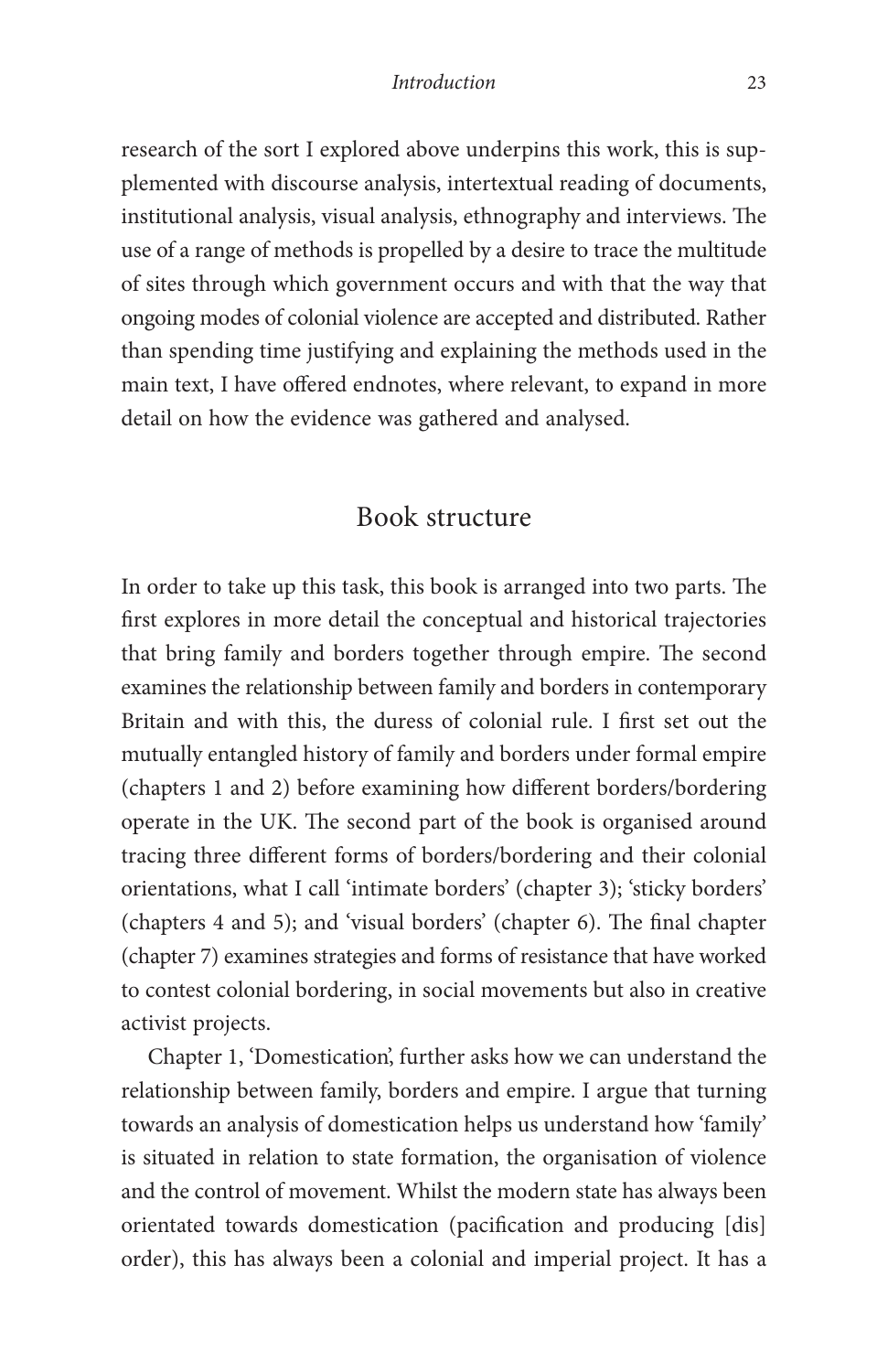research of the sort I explored above underpins this work, this is supplemented with discourse analysis, intertextual reading of documents, institutional analysis, visual analysis, ethnography and interviews. The use of a range of methods is propelled by a desire to trace the multitude of sites through which government occurs and with that the way that ongoing modes of colonial violence are accepted and distributed. Rather than spending time justifying and explaining the methods used in the main text, I have offered endnotes, where relevant, to expand in more detail on how the evidence was gathered and analysed.

### Book structure

In order to take up this task, this book is arranged into two parts. The first explores in more detail the conceptual and historical trajectories that bring family and borders together through empire. The second examines the relationship between family and borders in contemporary Britain and with this, the duress of colonial rule. I first set out the mutually entangled history of family and borders under formal empire (chapters 1 and 2) before examining how different borders/bordering operate in the UK. The second part of the book is organised around tracing three different forms of borders/bordering and their colonial orientations, what I call 'intimate borders' ( chapter 3) ; 'sticky borders' (chapters 4 and 5); and 'visual borders' (chapter 6). The final chapter (chapter 7) examines strategies and forms of resistance that have worked to contest colonial bordering, in social movements but also in creative activist projects.

Chapter 1, 'Domestication', further asks how we can understand the relationship between family, borders and empire. I argue that turning towards an analysis of domestication helps us understand how 'family' is situated in relation to state formation, the organisation of violence and the control of movement. Whilst the modern state has always been orientated towards domestication (pacification and producing [dis] order), this has always been a colonial and imperial project. It has a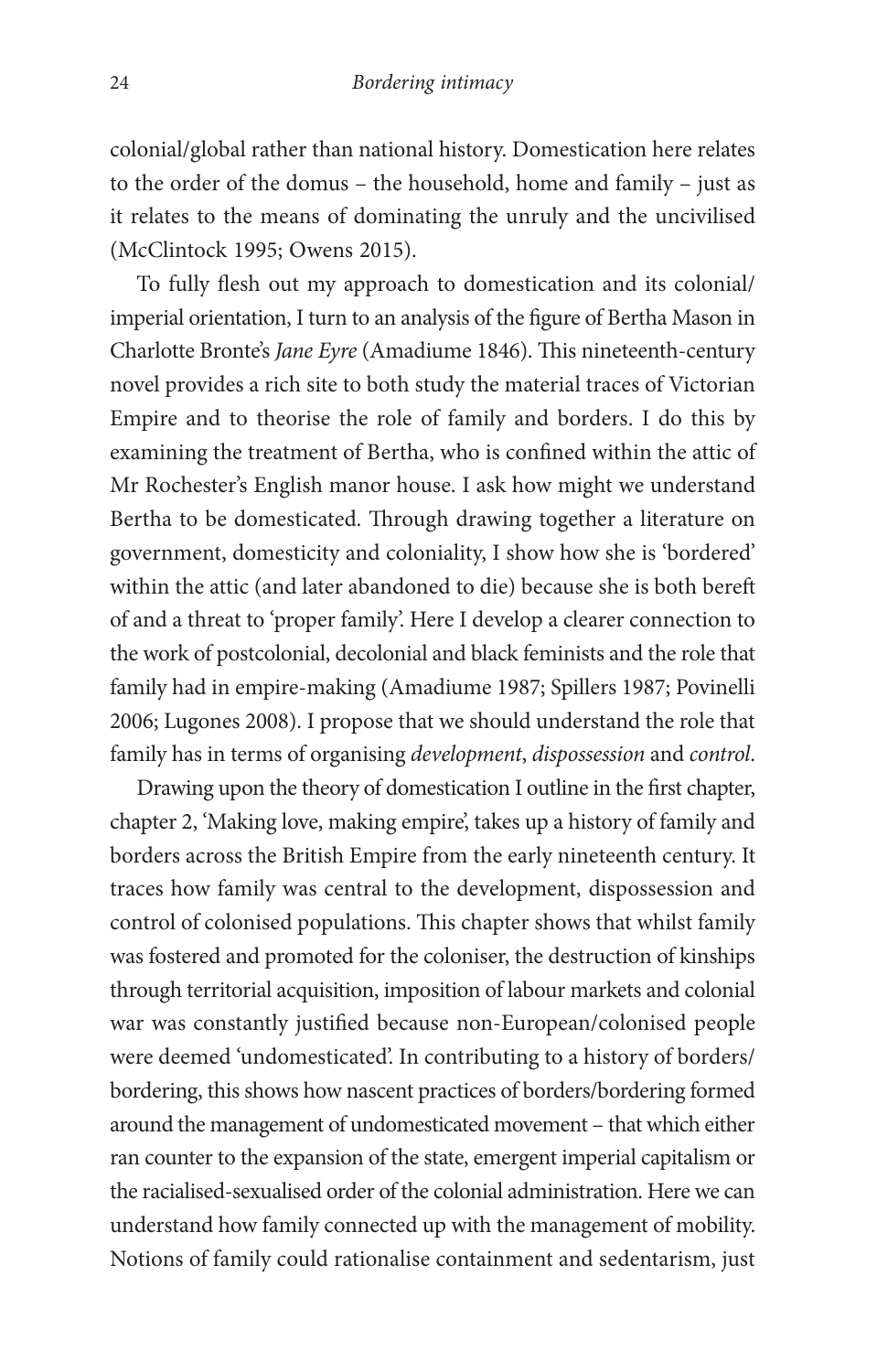colonial/global rather than national history. Domestication here relates to the order of the domus – the household, home and family – just as it relates to the means of dominating the unruly and the uncivilised (McClintock 1995; Owens 2015).

To fully flesh out my approach to domestication and its colonial/ imperial orientation, I turn to an analysis of the figure of Bertha Mason in Charlotte Bronte's *Jane Eyre* (Amadiume 1846). This nineteenth-century novel provides a rich site to both study the material traces of Victorian Empire and to theorise the role of family and borders. I do this by examining the treatment of Bertha, who is confined within the attic of Mr Rochester's English manor house. I ask how might we understand Bertha to be domesticated. Through drawing together a literature on government, domesticity and coloniality, I show how she is 'bordered' within the attic (and later abandoned to die) because she is both bereft of and a threat to 'proper family'. Here I develop a clearer connection to the work of postcolonial, decolonial and black feminists and the role that family had in empire-making (Amadiume 1987; Spillers 1987; Povinelli 2006; Lugones 2008). I propose that we should understand the role that family has in terms of organising *development* , *dispossession* and *control* .

Drawing upon the theory of domestication I outline in the first chapter, chapter 2, 'Making love, making empire', takes up a history of family and borders across the British Empire from the early nineteenth century. It traces how family was central to the development, dispossession and control of colonised populations. This chapter shows that whilst family was fostered and promoted for the coloniser, the destruction of kinships through territorial acquisition, imposition of labour markets and colonial war was constantly justified because non-European/colonised people were deemed 'undomesticated'. In contributing to a history of borders/ bordering, this shows how nascent practices of borders/bordering formed around the management of undomesticated movement – that which either ran counter to the expansion of the state, emergent imperial capitalism or the racialised-sexualised order of the colonial administration. Here we can understand how family connected up with the management of mobility. Notions of family could rationalise containment and sedentarism, just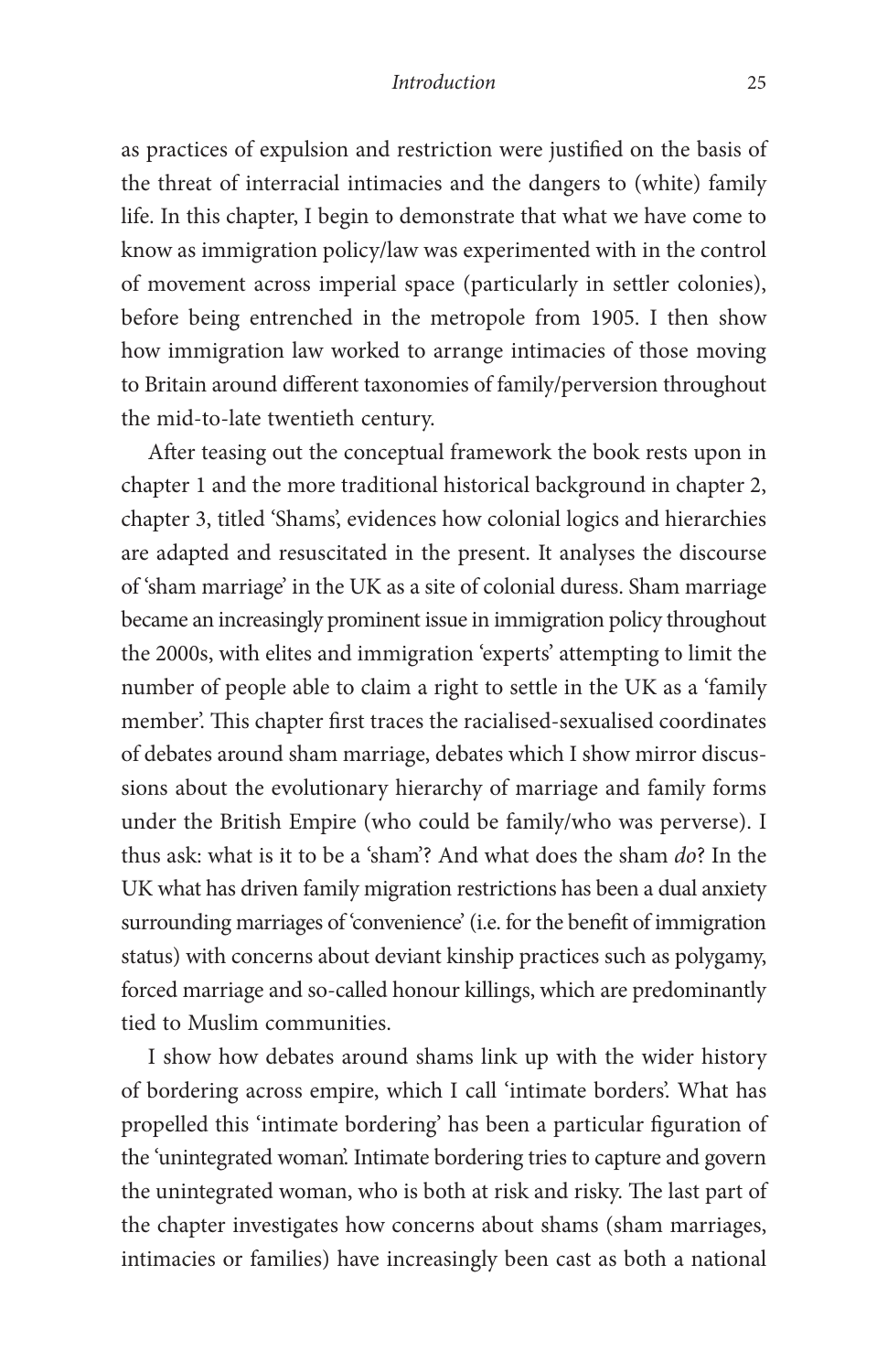#### *Introduction* 25

as practices of expulsion and restriction were justified on the basis of the threat of interracial intimacies and the dangers to (white) family life. In this chapter, I begin to demonstrate that what we have come to know as immigration policy/law was experimented with in the control of movement across imperial space (particularly in settler colonies), before being entrenched in the metropole from 1905. I then show how immigration law worked to arrange intimacies of those moving to Britain around different taxonomies of family/perversion throughout the mid-to-late twentieth century.

After teasing out the conceptual framework the book rests upon in chapter 1 and the more traditional historical background in chapter 2, chapter 3 , titled 'Shams', evidences how colonial logics and hierarchies are adapted and resuscitated in the present. It analyses the discourse of 'sham marriage' in the UK as a site of colonial duress. Sham marriage became an increasingly prominent issue in immigration policy throughout the 2000s, with elites and immigration 'experts' attempting to limit the number of people able to claim a right to settle in the UK as a 'family member'. This chapter first traces the racialised-sexualised coordinates of debates around sham marriage, debates which I show mirror discussions about the evolutionary hierarchy of marriage and family forms under the British Empire (who could be family/who was perverse). I thus ask: what is it to be a 'sham'? And what does the sham *do*? In the UK what has driven family migration restrictions has been a dual anxiety surrounding marriages of 'convenience' (i.e. for the benefit of immigration status) with concerns about deviant kinship practices such as polygamy, forced marriage and so-called honour killings, which are predominantly tied to Muslim communities.

 I show how debates around shams link up with the wider history of bordering across empire, which I call 'intimate borders'. What has propelled this 'intimate bordering' has been a particular figuration of the 'unintegrated woman'. Intimate bordering tries to capture and govern the unintegrated woman, who is both at risk and risky. The last part of the chapter investigates how concerns about shams (sham marriages, intimacies or families) have increasingly been cast as both a national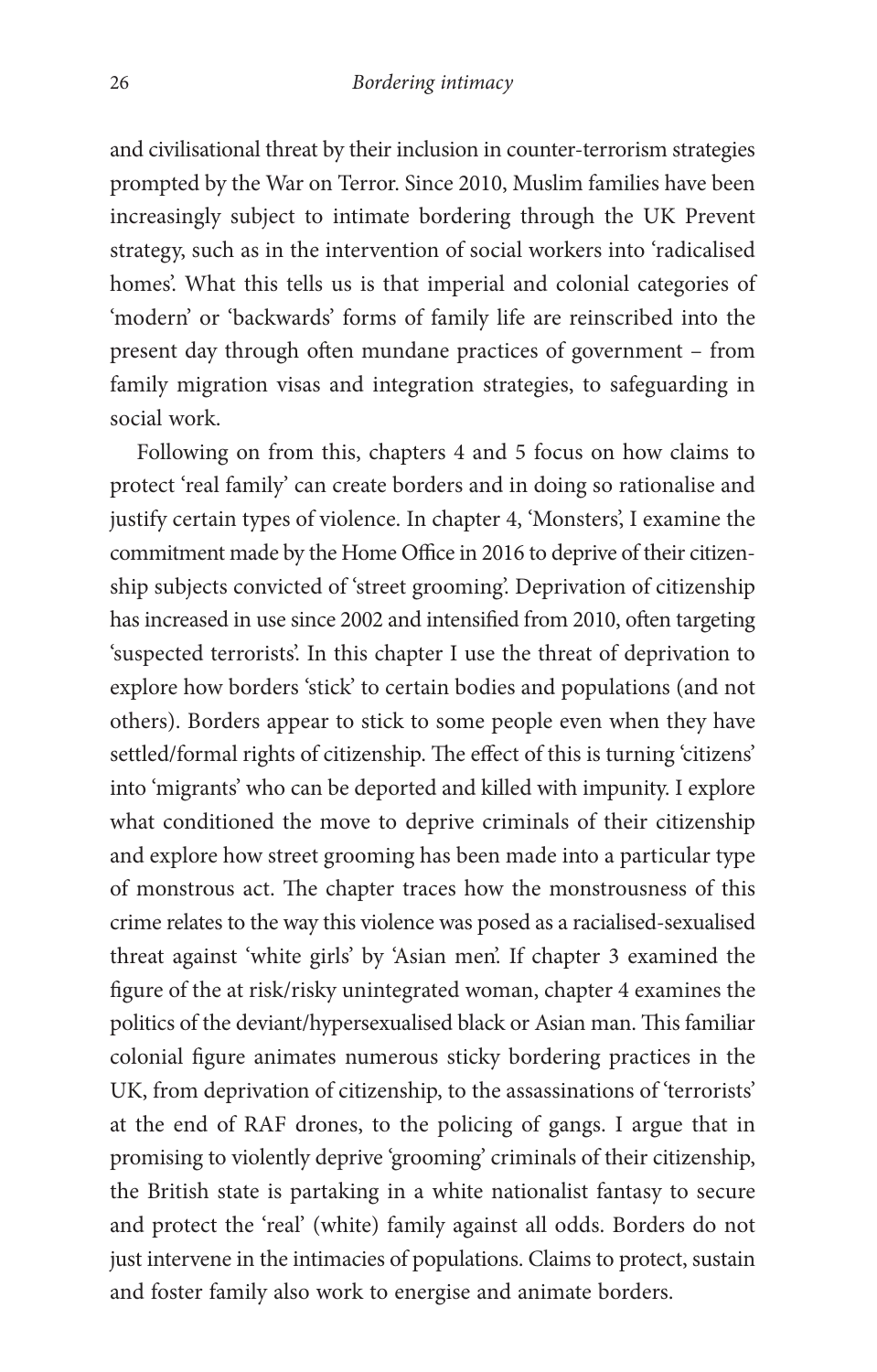and civilisational threat by their inclusion in counter-terrorism strategies prompted by the War on Terror. Since 2010, Muslim families have been increasingly subject to intimate bordering through the UK Prevent strategy, such as in the intervention of social workers into 'radicalised homes'. What this tells us is that imperial and colonial categories of 'modern' or 'backwards' forms of family life are reinscribed into the present day through often mundane practices of government – from family migration visas and integration strategies, to safeguarding in social work.

 Following on from this, chapters 4 and 5 focus on how claims to protect 'real family' can create borders and in doing so rationalise and justify certain types of violence. In chapter 4, 'Monsters', I examine the commitment made by the Home Office in 2016 to deprive of their citizenship subjects convicted of 'street grooming'. Deprivation of citizenship has increased in use since 2002 and intensified from 2010, often targeting 'suspected terrorists'. In this chapter I use the threat of deprivation to explore how borders 'stick' to certain bodies and populations (and not others). Borders appear to stick to some people even when they have settled/formal rights of citizenship. The effect of this is turning 'citizens' into 'migrants' who can be deported and killed with impunity. I explore what conditioned the move to deprive criminals of their citizenship and explore how street grooming has been made into a particular type of monstrous act. The chapter traces how the monstrousness of this crime relates to the way this violence was posed as a racialised-sexualised threat against 'white girls' by 'Asian men'. If chapter 3 examined the figure of the at risk/risky unintegrated woman, chapter 4 examines the politics of the deviant/hypersexualised black or Asian man. This familiar colonial figure animates numerous sticky bordering practices in the UK, from deprivation of citizenship, to the assassinations of 'terrorists' at the end of RAF drones, to the policing of gangs. I argue that in promising to violently deprive 'grooming' criminals of their citizenship, the British state is partaking in a white nationalist fantasy to secure and protect the 'real' (white) family against all odds. Borders do not just intervene in the intimacies of populations. Claims to protect, sustain and foster family also work to energise and animate borders.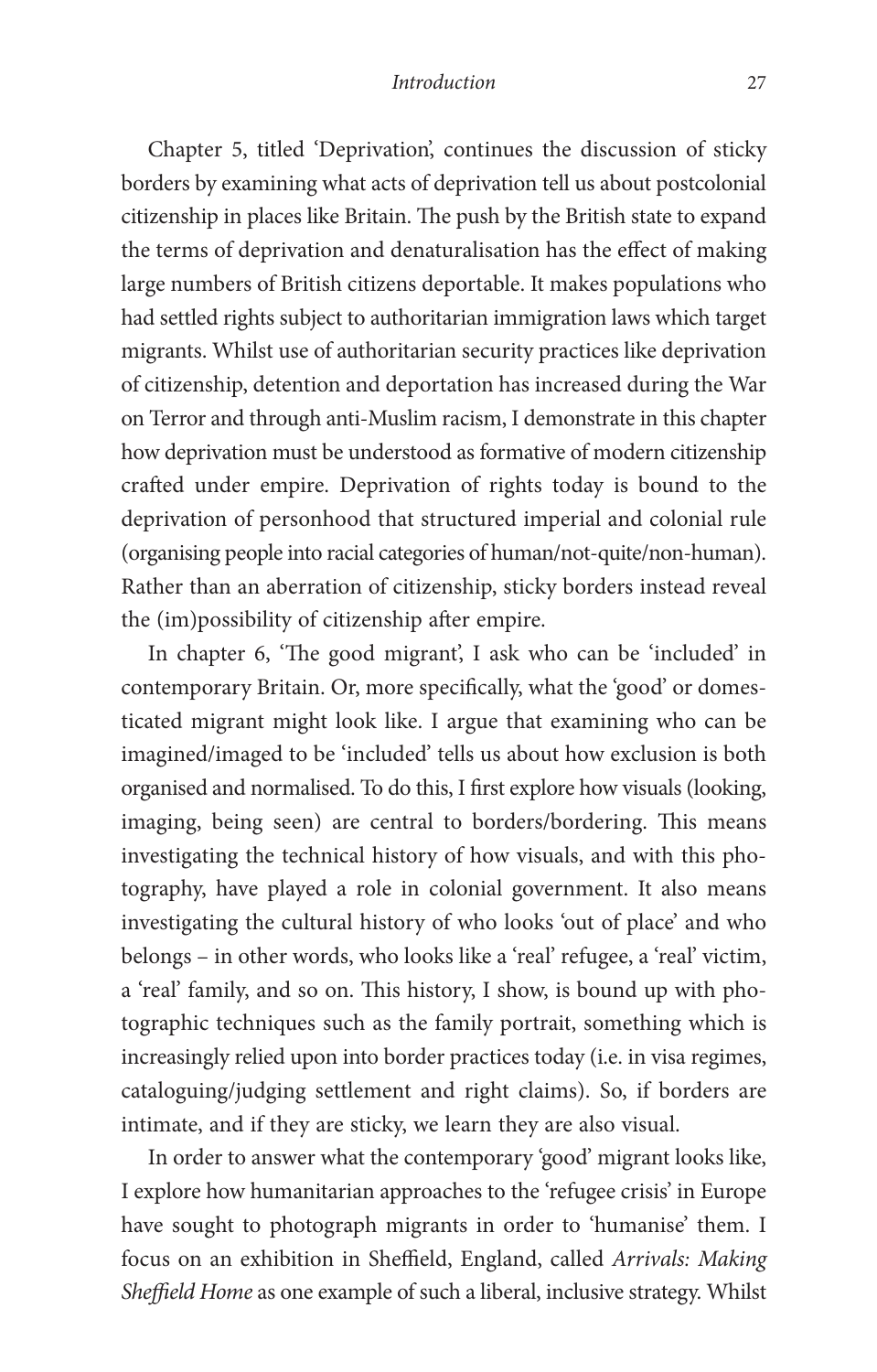Chapter 5, titled 'Deprivation', continues the discussion of sticky borders by examining what acts of deprivation tell us about postcolonial citizenship in places like Britain. The push by the British state to expand the terms of deprivation and denaturalisation has the effect of making large numbers of British citizens deportable. It makes populations who had settled rights subject to authoritarian immigration laws which target migrants. Whilst use of authoritarian security practices like deprivation of citizenship, detention and deportation has increased during the War on Terror and through anti-Muslim racism, I demonstrate in this chapter how deprivation must be understood as formative of modern citizenship crafted under empire. Deprivation of rights today is bound to the deprivation of personhood that structured imperial and colonial rule (organising people into racial categories of human/not-quite/non-human). Rather than an aberration of citizenship, sticky borders instead reveal the (im)possibility of citizenship after empire.

In chapter 6, 'The good migrant', I ask who can be 'included' in contemporary Britain. Or, more specifically, what the 'good' or domesticated migrant might look like. I argue that examining who can be imagined/imaged to be 'included' tells us about how exclusion is both organised and normalised. To do this, I first explore how visuals (looking, imaging, being seen) are central to borders/bordering. This means investigating the technical history of how visuals, and with this photography, have played a role in colonial government. It also means investigating the cultural history of who looks 'out of place' and who belongs – in other words, who looks like a 'real' refugee, a 'real' victim, a 'real' family, and so on. This history, I show, is bound up with photographic techniques such as the family portrait, something which is increasingly relied upon into border practices today (i.e. in visa regimes, cataloguing/judging settlement and right claims). So, if borders are intimate, and if they are sticky, we learn they are also visual.

 In order to answer what the contemporary 'good' migrant looks like, I explore how humanitarian approaches to the 'refugee crisis' in Europe have sought to photograph migrants in order to 'humanise' them. I focus on an exhibition in Sheffield, England, called *Arrivals: Making Sheffield Home* as one example of such a liberal, inclusive strategy. Whilst